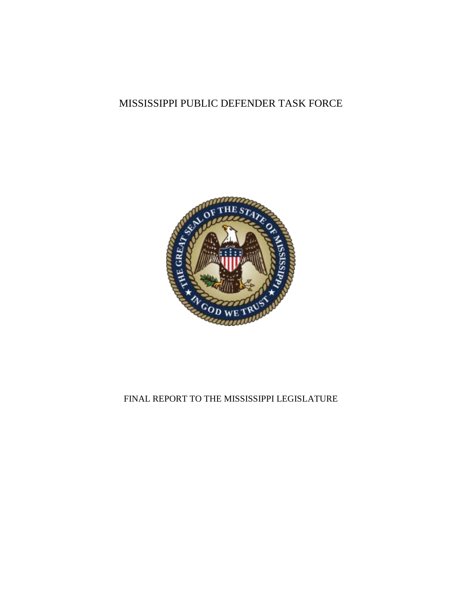# MISSISSIPPI PUBLIC DEFENDER TASK FORCE



# FINAL REPORT TO THE MISSISSIPPI LEGISLATURE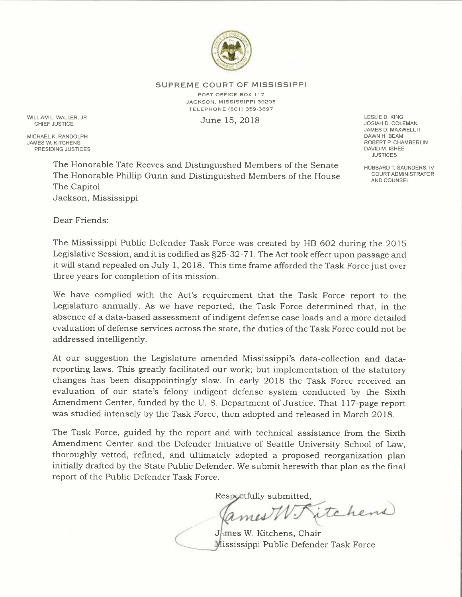

SUPREME COURT OF MISSISSIPPI

POST OFFICE BOX 1 17 JACKSON, MISSISSIPPI 39205 TELEPHONE (601) 359-3697

WILLIAM L. WALLER, JR.  $J$ une  $15, 2018$  denotes the set of the set of the set of the set of the set of the set of the set of the set of the set of the set of the set of the set of the set of the set of the set of the set

MICHAEL K. RANDOLPH<br>JAMES W. KITCHENS PRESIDING JUSTICES JOSIAH D. COLEMAN JAMES D. MAXWELL II ROBERT P. CHAMBERLIN<br>DAVID M. ISHEE **JUSTICES** 

The Honorable Tate Reeves and Distinguished Members of the Senate<br>The Honorable Phillip Gunn and Distinguished Mombers of the House COURTADMINISTRATOR The Honorable Phillip Gunn and Distinguished Members of the House The Capitol Jackson, Mississippi

AND COUNSEL

Dear Friends:

The Mississippi Public Defender Task Force was created by HB 602 during the 2015 Legislative Session, and it is codified as  $\S25-32-71$ . The Act took effect upon passage and it will stand repealed on July 1, 2018. This time frame afforded the Task Force just over three years for completion of its mission.

We have complied with the Act's requirement that the Task Force report to the Legislature annually. As we have reported, the Task Force determined that, in the absence of a data-based assessment of indigent defense case loads and a more detailed evaluation of defense services across the state, the duties of the Task Force could not be addressed intelligently.

At our suggestion the Legislature amended Mississippi's data-collection and datareporting laws. This greatly facilitated our work; but implementation of the statutory changes has been disappointingly slow. In early 2018 the Task Force received an evaluation of our state's felony indigent defense system conducted by the Sixth Amendment Center, funded by the U. S. Department of Justice. That 117-page report was studied intensely by the Task Force, then adopted and released in March 2018.

The Task Force, guided by the report and with technical assistance from the Sixth Amendment Center and the Defender Initiative of Seattle University School of Law, thoroughly vetted, refined, and ultimately adopted a proposed reorganization plan initially drafted by the State Public Defender. We submit herewith that plan as the final report of the Public Defender Task Force.

Respectfully submitted,

itchens ames

James W. Kitchens, Chair Mississippi Public Defender Task Force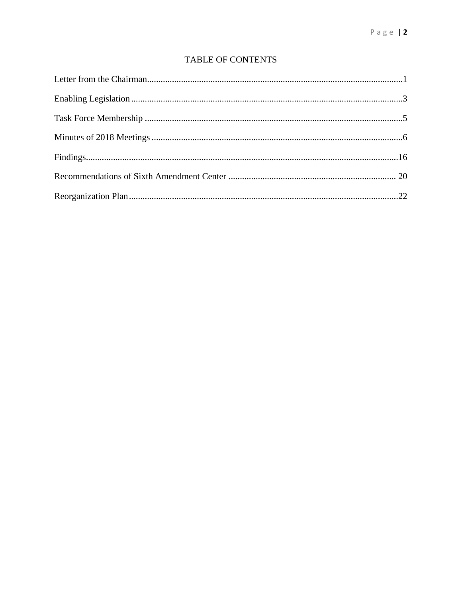# TABLE OF CONTENTS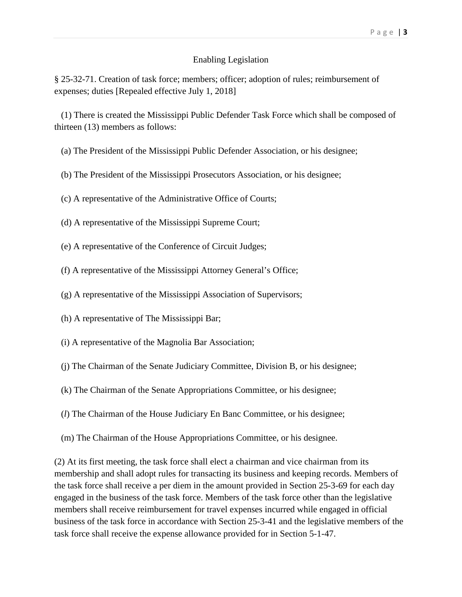#### Page | **3**

### Enabling Legislation

§ 25-32-71. Creation of task force; members; officer; adoption of rules; reimbursement of expenses; duties [Repealed effective July 1, 2018]

 (1) There is created the Mississippi Public Defender Task Force which shall be composed of thirteen (13) members as follows:

- (a) The President of the Mississippi Public Defender Association, or his designee;
- (b) The President of the Mississippi Prosecutors Association, or his designee;
- (c) A representative of the Administrative Office of Courts;
- (d) A representative of the Mississippi Supreme Court;
- (e) A representative of the Conference of Circuit Judges;
- (f) A representative of the Mississippi Attorney General's Office;
- (g) A representative of the Mississippi Association of Supervisors;
- (h) A representative of The Mississippi Bar;
- (i) A representative of the Magnolia Bar Association;
- (j) The Chairman of the Senate Judiciary Committee, Division B, or his designee;
- (k) The Chairman of the Senate Appropriations Committee, or his designee;
- (*l*) The Chairman of the House Judiciary En Banc Committee, or his designee;
- (m) The Chairman of the House Appropriations Committee, or his designee.

(2) At its first meeting, the task force shall elect a chairman and vice chairman from its membership and shall adopt rules for transacting its business and keeping records. Members of the task force shall receive a per diem in the amount provided in Section 25-3-69 for each day engaged in the business of the task force. Members of the task force other than the legislative members shall receive reimbursement for travel expenses incurred while engaged in official business of the task force in accordance with Section 25-3-41 and the legislative members of the task force shall receive the expense allowance provided for in Section 5-1-47.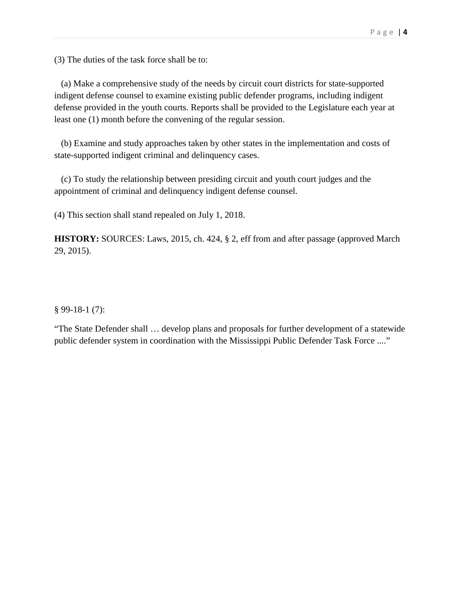(3) The duties of the task force shall be to:

 (a) Make a comprehensive study of the needs by circuit court districts for state-supported indigent defense counsel to examine existing public defender programs, including indigent defense provided in the youth courts. Reports shall be provided to the Legislature each year at least one (1) month before the convening of the regular session.

 (b) Examine and study approaches taken by other states in the implementation and costs of state-supported indigent criminal and delinquency cases.

 (c) To study the relationship between presiding circuit and youth court judges and the appointment of criminal and delinquency indigent defense counsel.

(4) This section shall stand repealed on July 1, 2018.

**HISTORY:** SOURCES: Laws, 2015, ch. 424, § 2, eff from and after passage (approved March 29, 2015).

§ 99-18-1 (7):

"The State Defender shall … develop plans and proposals for further development of a statewide public defender system in coordination with the Mississippi Public Defender Task Force ...."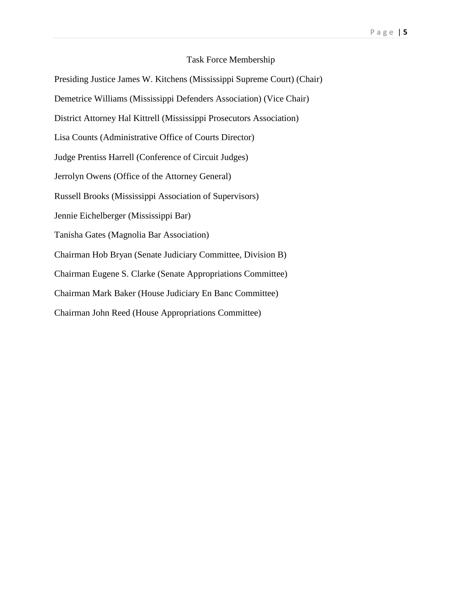### Task Force Membership

Presiding Justice James W. Kitchens (Mississippi Supreme Court) (Chair) Demetrice Williams (Mississippi Defenders Association) (Vice Chair) District Attorney Hal Kittrell (Mississippi Prosecutors Association) Lisa Counts (Administrative Office of Courts Director) Judge Prentiss Harrell (Conference of Circuit Judges) Jerrolyn Owens (Office of the Attorney General) Russell Brooks (Mississippi Association of Supervisors) Jennie Eichelberger (Mississippi Bar) Tanisha Gates (Magnolia Bar Association) Chairman Hob Bryan (Senate Judiciary Committee, Division B) Chairman Eugene S. Clarke (Senate Appropriations Committee) Chairman Mark Baker (House Judiciary En Banc Committee) Chairman John Reed (House Appropriations Committee)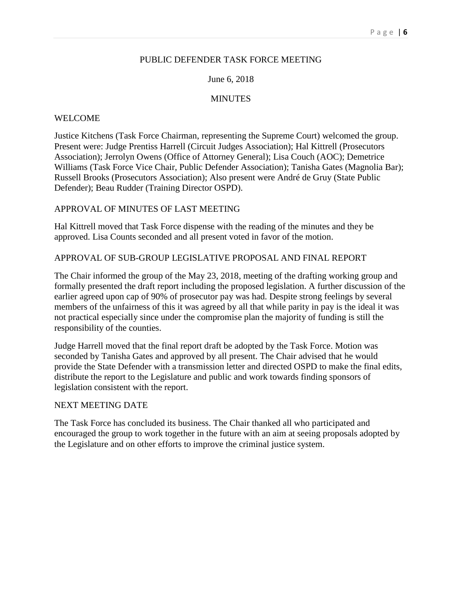# PUBLIC DEFENDER TASK FORCE MEETING

# June 6, 2018

## MINUTES

## WELCOME

Justice Kitchens (Task Force Chairman, representing the Supreme Court) welcomed the group. Present were: Judge Prentiss Harrell (Circuit Judges Association); Hal Kittrell (Prosecutors Association); Jerrolyn Owens (Office of Attorney General); Lisa Couch (AOC); Demetrice Williams (Task Force Vice Chair, Public Defender Association); Tanisha Gates (Magnolia Bar); Russell Brooks (Prosecutors Association); Also present were André de Gruy (State Public Defender); Beau Rudder (Training Director OSPD).

# APPROVAL OF MINUTES OF LAST MEETING

Hal Kittrell moved that Task Force dispense with the reading of the minutes and they be approved. Lisa Counts seconded and all present voted in favor of the motion.

## APPROVAL OF SUB-GROUP LEGISLATIVE PROPOSAL AND FINAL REPORT

The Chair informed the group of the May 23, 2018, meeting of the drafting working group and formally presented the draft report including the proposed legislation. A further discussion of the earlier agreed upon cap of 90% of prosecutor pay was had. Despite strong feelings by several members of the unfairness of this it was agreed by all that while parity in pay is the ideal it was not practical especially since under the compromise plan the majority of funding is still the responsibility of the counties.

Judge Harrell moved that the final report draft be adopted by the Task Force. Motion was seconded by Tanisha Gates and approved by all present. The Chair advised that he would provide the State Defender with a transmission letter and directed OSPD to make the final edits, distribute the report to the Legislature and public and work towards finding sponsors of legislation consistent with the report.

### NEXT MEETING DATE

The Task Force has concluded its business. The Chair thanked all who participated and encouraged the group to work together in the future with an aim at seeing proposals adopted by the Legislature and on other efforts to improve the criminal justice system.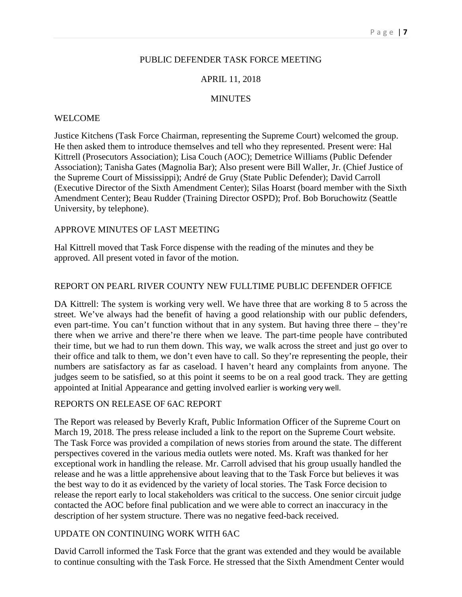# PUBLIC DEFENDER TASK FORCE MEETING

# APRIL 11, 2018

# **MINUTES**

# WELCOME

Justice Kitchens (Task Force Chairman, representing the Supreme Court) welcomed the group. He then asked them to introduce themselves and tell who they represented. Present were: Hal Kittrell (Prosecutors Association); Lisa Couch (AOC); Demetrice Williams (Public Defender Association); Tanisha Gates (Magnolia Bar); Also present were Bill Waller, Jr. (Chief Justice of the Supreme Court of Mississippi); André de Gruy (State Public Defender); David Carroll (Executive Director of the Sixth Amendment Center); Silas Hoarst (board member with the Sixth Amendment Center); Beau Rudder (Training Director OSPD); Prof. Bob Boruchowitz (Seattle University, by telephone).

# APPROVE MINUTES OF LAST MEETING

Hal Kittrell moved that Task Force dispense with the reading of the minutes and they be approved. All present voted in favor of the motion.

# REPORT ON PEARL RIVER COUNTY NEW FULLTIME PUBLIC DEFENDER OFFICE

DA Kittrell: The system is working very well. We have three that are working 8 to 5 across the street. We've always had the benefit of having a good relationship with our public defenders, even part-time. You can't function without that in any system. But having three there – they're there when we arrive and there're there when we leave. The part-time people have contributed their time, but we had to run them down. This way, we walk across the street and just go over to their office and talk to them, we don't even have to call. So they're representing the people, their numbers are satisfactory as far as caseload. I haven't heard any complaints from anyone. The judges seem to be satisfied, so at this point it seems to be on a real good track. They are getting appointed at Initial Appearance and getting involved earlier is working very well.

# REPORTS ON RELEASE OF 6AC REPORT

The Report was released by Beverly Kraft, Public Information Officer of the Supreme Court on March 19, 2018. The press release included a link to the report on the Supreme Court website. The Task Force was provided a compilation of news stories from around the state. The different perspectives covered in the various media outlets were noted. Ms. Kraft was thanked for her exceptional work in handling the release. Mr. Carroll advised that his group usually handled the release and he was a little apprehensive about leaving that to the Task Force but believes it was the best way to do it as evidenced by the variety of local stories. The Task Force decision to release the report early to local stakeholders was critical to the success. One senior circuit judge contacted the AOC before final publication and we were able to correct an inaccuracy in the description of her system structure. There was no negative feed-back received.

# UPDATE ON CONTINUING WORK WITH 6AC

David Carroll informed the Task Force that the grant was extended and they would be available to continue consulting with the Task Force. He stressed that the Sixth Amendment Center would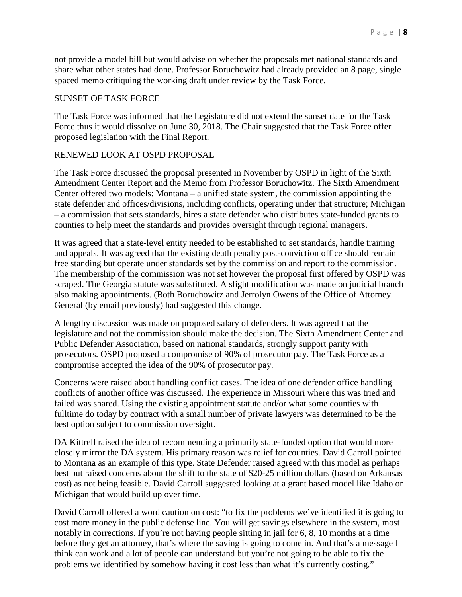not provide a model bill but would advise on whether the proposals met national standards and share what other states had done. Professor Boruchowitz had already provided an 8 page, single spaced memo critiquing the working draft under review by the Task Force.

### SUNSET OF TASK FORCE

The Task Force was informed that the Legislature did not extend the sunset date for the Task Force thus it would dissolve on June 30, 2018. The Chair suggested that the Task Force offer proposed legislation with the Final Report.

# RENEWED LOOK AT OSPD PROPOSAL

The Task Force discussed the proposal presented in November by OSPD in light of the Sixth Amendment Center Report and the Memo from Professor Boruchowitz. The Sixth Amendment Center offered two models: Montana – a unified state system, the commission appointing the state defender and offices/divisions, including conflicts, operating under that structure; Michigan – a commission that sets standards, hires a state defender who distributes state-funded grants to counties to help meet the standards and provides oversight through regional managers.

It was agreed that a state-level entity needed to be established to set standards, handle training and appeals. It was agreed that the existing death penalty post-conviction office should remain free standing but operate under standards set by the commission and report to the commission. The membership of the commission was not set however the proposal first offered by OSPD was scraped. The Georgia statute was substituted. A slight modification was made on judicial branch also making appointments. (Both Boruchowitz and Jerrolyn Owens of the Office of Attorney General (by email previously) had suggested this change.

A lengthy discussion was made on proposed salary of defenders. It was agreed that the legislature and not the commission should make the decision. The Sixth Amendment Center and Public Defender Association, based on national standards, strongly support parity with prosecutors. OSPD proposed a compromise of 90% of prosecutor pay. The Task Force as a compromise accepted the idea of the 90% of prosecutor pay.

Concerns were raised about handling conflict cases. The idea of one defender office handling conflicts of another office was discussed. The experience in Missouri where this was tried and failed was shared. Using the existing appointment statute and/or what some counties with fulltime do today by contract with a small number of private lawyers was determined to be the best option subject to commission oversight.

DA Kittrell raised the idea of recommending a primarily state-funded option that would more closely mirror the DA system. His primary reason was relief for counties. David Carroll pointed to Montana as an example of this type. State Defender raised agreed with this model as perhaps best but raised concerns about the shift to the state of \$20-25 million dollars (based on Arkansas cost) as not being feasible. David Carroll suggested looking at a grant based model like Idaho or Michigan that would build up over time.

David Carroll offered a word caution on cost: "to fix the problems we've identified it is going to cost more money in the public defense line. You will get savings elsewhere in the system, most notably in corrections. If you're not having people sitting in jail for 6, 8, 10 months at a time before they get an attorney, that's where the saving is going to come in. And that's a message I think can work and a lot of people can understand but you're not going to be able to fix the problems we identified by somehow having it cost less than what it's currently costing."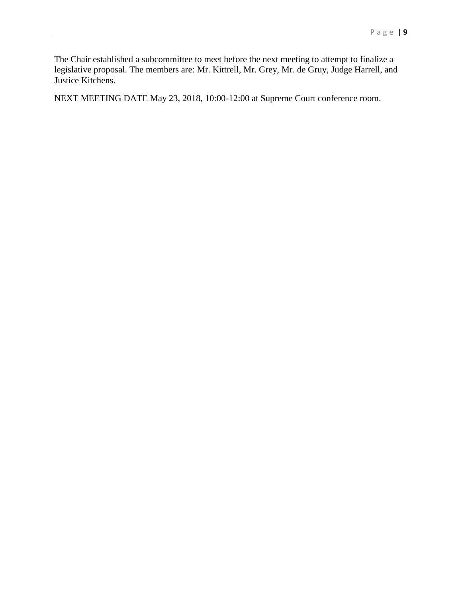The Chair established a subcommittee to meet before the next meeting to attempt to finalize a legislative proposal. The members are: Mr. Kittrell, Mr. Grey, Mr. de Gruy, Judge Harrell, and Justice Kitchens.

NEXT MEETING DATE May 23, 2018, 10:00-12:00 at Supreme Court conference room.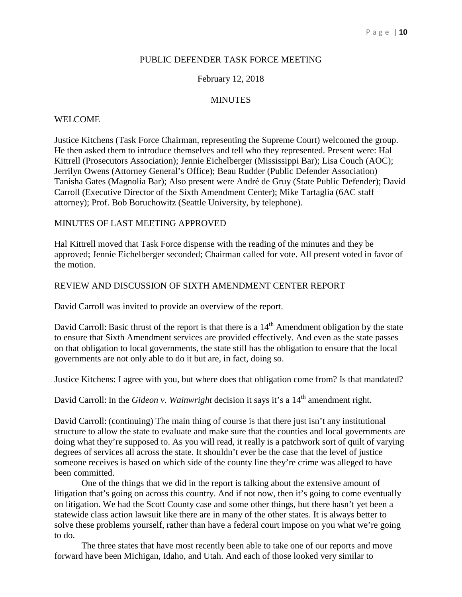# PUBLIC DEFENDER TASK FORCE MEETING

### February 12, 2018

### **MINUTES**

#### WELCOME

Justice Kitchens (Task Force Chairman, representing the Supreme Court) welcomed the group. He then asked them to introduce themselves and tell who they represented. Present were: Hal Kittrell (Prosecutors Association); Jennie Eichelberger (Mississippi Bar); Lisa Couch (AOC); Jerrilyn Owens (Attorney General's Office); Beau Rudder (Public Defender Association) Tanisha Gates (Magnolia Bar); Also present were André de Gruy (State Public Defender); David Carroll (Executive Director of the Sixth Amendment Center); Mike Tartaglia (6AC staff attorney); Prof. Bob Boruchowitz (Seattle University, by telephone).

### MINUTES OF LAST MEETING APPROVED

Hal Kittrell moved that Task Force dispense with the reading of the minutes and they be approved; Jennie Eichelberger seconded; Chairman called for vote. All present voted in favor of the motion.

### REVIEW AND DISCUSSION OF SIXTH AMENDMENT CENTER REPORT

David Carroll was invited to provide an overview of the report.

David Carroll: Basic thrust of the report is that there is a  $14<sup>th</sup>$  Amendment obligation by the state to ensure that Sixth Amendment services are provided effectively. And even as the state passes on that obligation to local governments, the state still has the obligation to ensure that the local governments are not only able to do it but are, in fact, doing so.

Justice Kitchens: I agree with you, but where does that obligation come from? Is that mandated?

David Carroll: In the *Gideon v. Wainwright* decision it says it's a 14<sup>th</sup> amendment right.

David Carroll: (continuing) The main thing of course is that there just isn't any institutional structure to allow the state to evaluate and make sure that the counties and local governments are doing what they're supposed to. As you will read, it really is a patchwork sort of quilt of varying degrees of services all across the state. It shouldn't ever be the case that the level of justice someone receives is based on which side of the county line they're crime was alleged to have been committed.

One of the things that we did in the report is talking about the extensive amount of litigation that's going on across this country. And if not now, then it's going to come eventually on litigation. We had the Scott County case and some other things, but there hasn't yet been a statewide class action lawsuit like there are in many of the other states. It is always better to solve these problems yourself, rather than have a federal court impose on you what we're going to do.

The three states that have most recently been able to take one of our reports and move forward have been Michigan, Idaho, and Utah. And each of those looked very similar to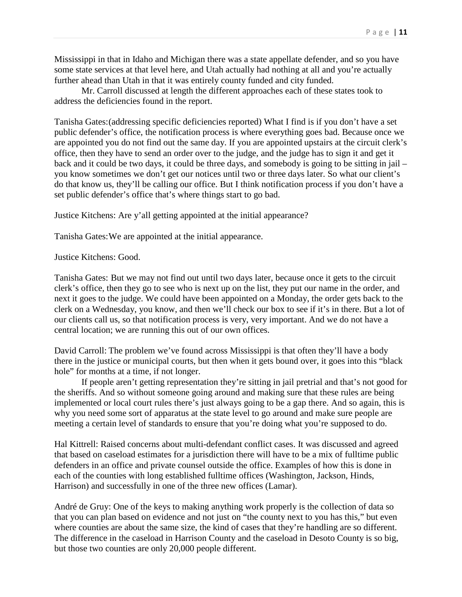Mississippi in that in Idaho and Michigan there was a state appellate defender, and so you have some state services at that level here, and Utah actually had nothing at all and you're actually further ahead than Utah in that it was entirely county funded and city funded.

Mr. Carroll discussed at length the different approaches each of these states took to address the deficiencies found in the report.

Tanisha Gates:(addressing specific deficiencies reported) What I find is if you don't have a set public defender's office, the notification process is where everything goes bad. Because once we are appointed you do not find out the same day. If you are appointed upstairs at the circuit clerk's office, then they have to send an order over to the judge, and the judge has to sign it and get it back and it could be two days, it could be three days, and somebody is going to be sitting in jail – you know sometimes we don't get our notices until two or three days later. So what our client's do that know us, they'll be calling our office. But I think notification process if you don't have a set public defender's office that's where things start to go bad.

Justice Kitchens: Are y'all getting appointed at the initial appearance?

Tanisha Gates:We are appointed at the initial appearance.

Justice Kitchens: Good.

Tanisha Gates: But we may not find out until two days later, because once it gets to the circuit clerk's office, then they go to see who is next up on the list, they put our name in the order, and next it goes to the judge. We could have been appointed on a Monday, the order gets back to the clerk on a Wednesday, you know, and then we'll check our box to see if it's in there. But a lot of our clients call us, so that notification process is very, very important. And we do not have a central location; we are running this out of our own offices.

David Carroll: The problem we've found across Mississippi is that often they'll have a body there in the justice or municipal courts, but then when it gets bound over, it goes into this "black hole" for months at a time, if not longer.

If people aren't getting representation they're sitting in jail pretrial and that's not good for the sheriffs. And so without someone going around and making sure that these rules are being implemented or local court rules there's just always going to be a gap there. And so again, this is why you need some sort of apparatus at the state level to go around and make sure people are meeting a certain level of standards to ensure that you're doing what you're supposed to do.

Hal Kittrell: Raised concerns about multi-defendant conflict cases. It was discussed and agreed that based on caseload estimates for a jurisdiction there will have to be a mix of fulltime public defenders in an office and private counsel outside the office. Examples of how this is done in each of the counties with long established fulltime offices (Washington, Jackson, Hinds, Harrison) and successfully in one of the three new offices (Lamar).

André de Gruy: One of the keys to making anything work properly is the collection of data so that you can plan based on evidence and not just on "the county next to you has this," but even where counties are about the same size, the kind of cases that they're handling are so different. The difference in the caseload in Harrison County and the caseload in Desoto County is so big, but those two counties are only 20,000 people different.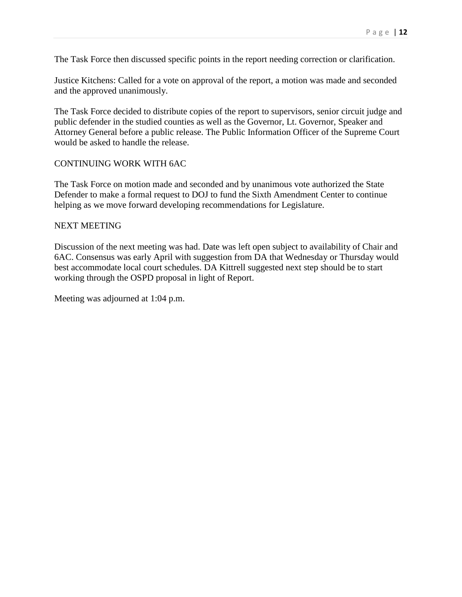The Task Force then discussed specific points in the report needing correction or clarification.

Justice Kitchens: Called for a vote on approval of the report, a motion was made and seconded and the approved unanimously.

The Task Force decided to distribute copies of the report to supervisors, senior circuit judge and public defender in the studied counties as well as the Governor, Lt. Governor, Speaker and Attorney General before a public release. The Public Information Officer of the Supreme Court would be asked to handle the release.

## CONTINUING WORK WITH 6AC

The Task Force on motion made and seconded and by unanimous vote authorized the State Defender to make a formal request to DOJ to fund the Sixth Amendment Center to continue helping as we move forward developing recommendations for Legislature.

## NEXT MEETING

Discussion of the next meeting was had. Date was left open subject to availability of Chair and 6AC. Consensus was early April with suggestion from DA that Wednesday or Thursday would best accommodate local court schedules. DA Kittrell suggested next step should be to start working through the OSPD proposal in light of Report.

Meeting was adjourned at 1:04 p.m.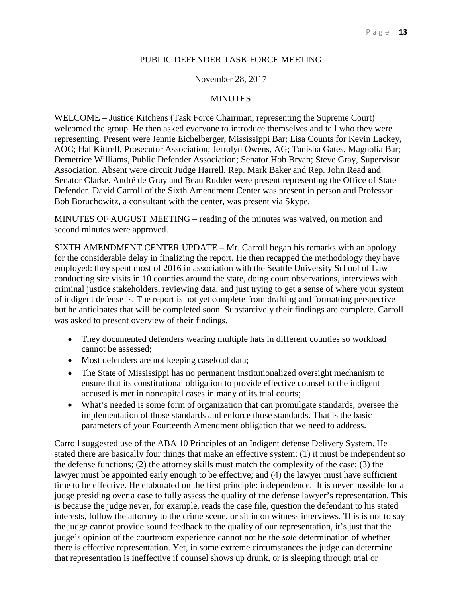### PUBLIC DEFENDER TASK FORCE MEETING

### November 28, 2017

### MINUTES

WELCOME – Justice Kitchens (Task Force Chairman, representing the Supreme Court) welcomed the group. He then asked everyone to introduce themselves and tell who they were representing. Present were Jennie Eichelberger, Mississippi Bar; Lisa Counts for Kevin Lackey, AOC; Hal Kittrell, Prosecutor Association; Jerrolyn Owens, AG; Tanisha Gates, Magnolia Bar; Demetrice Williams, Public Defender Association; Senator Hob Bryan; Steve Gray, Supervisor Association. Absent were circuit Judge Harrell, Rep. Mark Baker and Rep. John Read and Senator Clarke. André de Gruy and Beau Rudder were present representing the Office of State Defender. David Carroll of the Sixth Amendment Center was present in person and Professor Bob Boruchowitz, a consultant with the center, was present via Skype.

MINUTES OF AUGUST MEETING – reading of the minutes was waived, on motion and second minutes were approved.

SIXTH AMENDMENT CENTER UPDATE – Mr. Carroll began his remarks with an apology for the considerable delay in finalizing the report. He then recapped the methodology they have employed: they spent most of 2016 in association with the Seattle University School of Law conducting site visits in 10 counties around the state, doing court observations, interviews with criminal justice stakeholders, reviewing data, and just trying to get a sense of where your system of indigent defense is. The report is not yet complete from drafting and formatting perspective but he anticipates that will be completed soon. Substantively their findings are complete. Carroll was asked to present overview of their findings.

- They documented defenders wearing multiple hats in different counties so workload cannot be assessed;
- Most defenders are not keeping caseload data;
- The State of Mississippi has no permanent institutionalized oversight mechanism to ensure that its constitutional obligation to provide effective counsel to the indigent accused is met in noncapital cases in many of its trial courts;
- What's needed is some form of organization that can promulgate standards, oversee the implementation of those standards and enforce those standards. That is the basic parameters of your Fourteenth Amendment obligation that we need to address.

Carroll suggested use of the ABA 10 Principles of an Indigent defense Delivery System. He stated there are basically four things that make an effective system: (1) it must be independent so the defense functions; (2) the attorney skills must match the complexity of the case; (3) the lawyer must be appointed early enough to be effective; and (4) the lawyer must have sufficient time to be effective. He elaborated on the first principle: independence. It is never possible for a judge presiding over a case to fully assess the quality of the defense lawyer's representation. This is because the judge never, for example, reads the case file, question the defendant to his stated interests, follow the attorney to the crime scene, or sit in on witness interviews. This is not to say the judge cannot provide sound feedback to the quality of our representation, it's just that the judge's opinion of the courtroom experience cannot not be the *sole* determination of whether there is effective representation. Yet, in some extreme circumstances the judge can determine that representation is ineffective if counsel shows up drunk, or is sleeping through trial or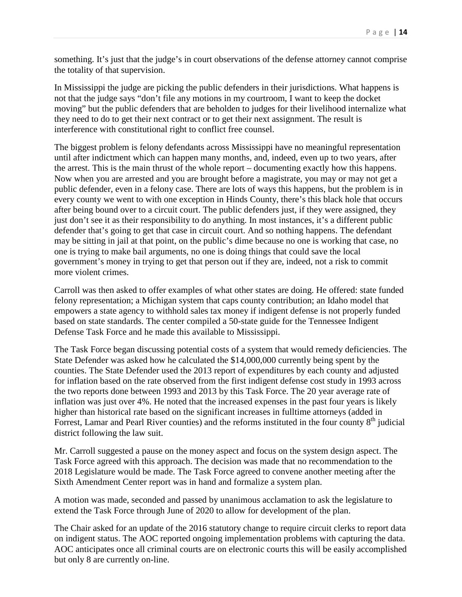something. It's just that the judge's in court observations of the defense attorney cannot comprise the totality of that supervision.

In Mississippi the judge are picking the public defenders in their jurisdictions. What happens is not that the judge says "don't file any motions in my courtroom, I want to keep the docket moving" but the public defenders that are beholden to judges for their livelihood internalize what they need to do to get their next contract or to get their next assignment. The result is interference with constitutional right to conflict free counsel.

The biggest problem is felony defendants across Mississippi have no meaningful representation until after indictment which can happen many months, and, indeed, even up to two years, after the arrest. This is the main thrust of the whole report – documenting exactly how this happens. Now when you are arrested and you are brought before a magistrate, you may or may not get a public defender, even in a felony case. There are lots of ways this happens, but the problem is in every county we went to with one exception in Hinds County, there's this black hole that occurs after being bound over to a circuit court. The public defenders just, if they were assigned, they just don't see it as their responsibility to do anything. In most instances, it's a different public defender that's going to get that case in circuit court. And so nothing happens. The defendant may be sitting in jail at that point, on the public's dime because no one is working that case, no one is trying to make bail arguments, no one is doing things that could save the local government's money in trying to get that person out if they are, indeed, not a risk to commit more violent crimes.

Carroll was then asked to offer examples of what other states are doing. He offered: state funded felony representation; a Michigan system that caps county contribution; an Idaho model that empowers a state agency to withhold sales tax money if indigent defense is not properly funded based on state standards. The center compiled a 50-state guide for the Tennessee Indigent Defense Task Force and he made this available to Mississippi.

The Task Force began discussing potential costs of a system that would remedy deficiencies. The State Defender was asked how he calculated the \$14,000,000 currently being spent by the counties. The State Defender used the 2013 report of expenditures by each county and adjusted for inflation based on the rate observed from the first indigent defense cost study in 1993 across the two reports done between 1993 and 2013 by this Task Force. The 20 year average rate of inflation was just over 4%. He noted that the increased expenses in the past four years is likely higher than historical rate based on the significant increases in fulltime attorneys (added in Forrest, Lamar and Pearl River counties) and the reforms instituted in the four county 8<sup>th</sup> judicial district following the law suit.

Mr. Carroll suggested a pause on the money aspect and focus on the system design aspect. The Task Force agreed with this approach. The decision was made that no recommendation to the 2018 Legislature would be made. The Task Force agreed to convene another meeting after the Sixth Amendment Center report was in hand and formalize a system plan.

A motion was made, seconded and passed by unanimous acclamation to ask the legislature to extend the Task Force through June of 2020 to allow for development of the plan.

The Chair asked for an update of the 2016 statutory change to require circuit clerks to report data on indigent status. The AOC reported ongoing implementation problems with capturing the data. AOC anticipates once all criminal courts are on electronic courts this will be easily accomplished but only 8 are currently on-line.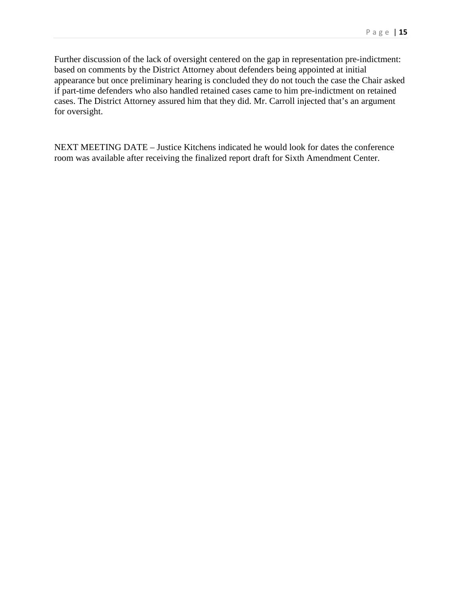Further discussion of the lack of oversight centered on the gap in representation pre-indictment: based on comments by the District Attorney about defenders being appointed at initial appearance but once preliminary hearing is concluded they do not touch the case the Chair asked if part-time defenders who also handled retained cases came to him pre-indictment on retained cases. The District Attorney assured him that they did. Mr. Carroll injected that's an argument for oversight.

NEXT MEETING DATE – Justice Kitchens indicated he would look for dates the conference room was available after receiving the finalized report draft for Sixth Amendment Center.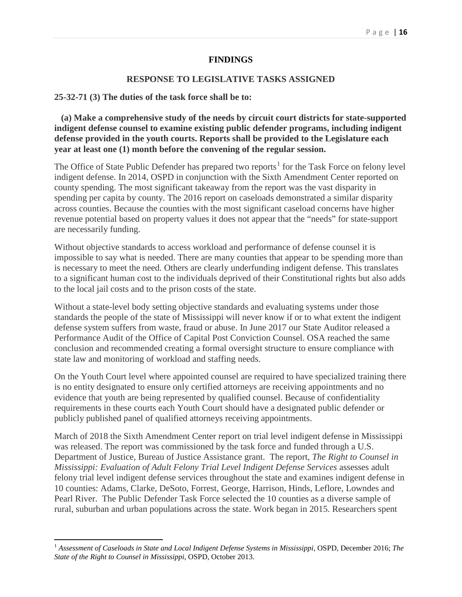### **FINDINGS**

## **RESPONSE TO LEGISLATIVE TASKS ASSIGNED**

#### **25-32-71 (3) The duties of the task force shall be to:**

 **(a) Make a comprehensive study of the needs by circuit court districts for state-supported indigent defense counsel to examine existing public defender programs, including indigent defense provided in the youth courts. Reports shall be provided to the Legislature each year at least one (1) month before the convening of the regular session.**

The Office of State Public Defender has prepared two reports<sup>[1](#page-16-0)</sup> for the Task Force on felony level indigent defense. In 2014, OSPD in conjunction with the Sixth Amendment Center reported on county spending. The most significant takeaway from the report was the vast disparity in spending per capita by county. The 2016 report on caseloads demonstrated a similar disparity across counties. Because the counties with the most significant caseload concerns have higher revenue potential based on property values it does not appear that the "needs" for state-support are necessarily funding.

Without objective standards to access workload and performance of defense counsel it is impossible to say what is needed. There are many counties that appear to be spending more than is necessary to meet the need. Others are clearly underfunding indigent defense. This translates to a significant human cost to the individuals deprived of their Constitutional rights but also adds to the local jail costs and to the prison costs of the state.

Without a state-level body setting objective standards and evaluating systems under those standards the people of the state of Mississippi will never know if or to what extent the indigent defense system suffers from waste, fraud or abuse. In June 2017 our State Auditor released a Performance Audit of the Office of Capital Post Conviction Counsel. OSA reached the same conclusion and recommended creating a formal oversight structure to ensure compliance with state law and monitoring of workload and staffing needs.

On the Youth Court level where appointed counsel are required to have specialized training there is no entity designated to ensure only certified attorneys are receiving appointments and no evidence that youth are being represented by qualified counsel. Because of confidentiality requirements in these courts each Youth Court should have a designated public defender or publicly published panel of qualified attorneys receiving appointments.

March of 2018 the Sixth Amendment Center report on trial level indigent defense in Mississippi was released. The report was commissioned by the task force and funded through a U.S. Department of Justice, Bureau of Justice Assistance grant. The report, *The Right to Counsel in Mississippi: Evaluation of Adult Felony Trial Level Indigent Defense Services* assesses adult felony trial level indigent defense services throughout the state and examines indigent defense in 10 counties: Adams, Clarke, DeSoto, Forrest, George, Harrison, Hinds, Leflore, Lowndes and Pearl River. The Public Defender Task Force selected the 10 counties as a diverse sample of rural, suburban and urban populations across the state. Work began in 2015. Researchers spent

<span id="page-16-0"></span><sup>1</sup> *Assessment of Caseloads in State and Local Indigent Defense Systems in Mississippi*, OSPD, December 2016; *The State of the Right to Counsel in Mississippi*, OSPD, October 2013.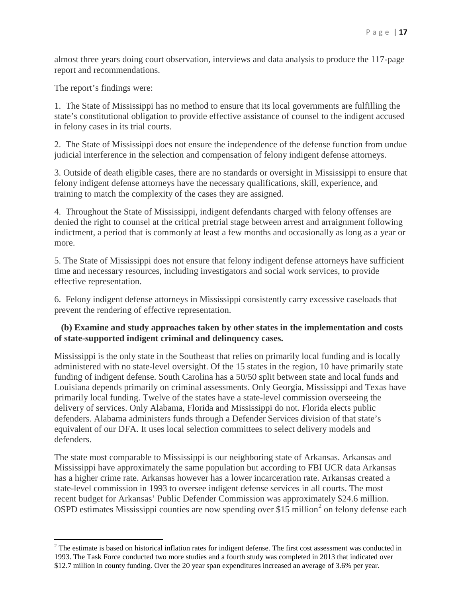almost three years doing court observation, interviews and data analysis to produce the 117-page report and recommendations.

The report's findings were:

1. The State of Mississippi has no method to ensure that its local governments are fulfilling the state's constitutional obligation to provide effective assistance of counsel to the indigent accused in felony cases in its trial courts.

2. The State of Mississippi does not ensure the independence of the defense function from undue judicial interference in the selection and compensation of felony indigent defense attorneys.

3. Outside of death eligible cases, there are no standards or oversight in Mississippi to ensure that felony indigent defense attorneys have the necessary qualifications, skill, experience, and training to match the complexity of the cases they are assigned.

4. Throughout the State of Mississippi, indigent defendants charged with felony offenses are denied the right to counsel at the critical pretrial stage between arrest and arraignment following indictment, a period that is commonly at least a few months and occasionally as long as a year or more.

5. The State of Mississippi does not ensure that felony indigent defense attorneys have sufficient time and necessary resources, including investigators and social work services, to provide effective representation.

6. Felony indigent defense attorneys in Mississippi consistently carry excessive caseloads that prevent the rendering of effective representation.

# **(b) Examine and study approaches taken by other states in the implementation and costs of state-supported indigent criminal and delinquency cases.**

Mississippi is the only state in the Southeast that relies on primarily local funding and is locally administered with no state-level oversight. Of the 15 states in the region, 10 have primarily state funding of indigent defense. South Carolina has a 50/50 split between state and local funds and Louisiana depends primarily on criminal assessments. Only Georgia, Mississippi and Texas have primarily local funding. Twelve of the states have a state-level commission overseeing the delivery of services. Only Alabama, Florida and Mississippi do not. Florida elects public defenders. Alabama administers funds through a Defender Services division of that state's equivalent of our DFA. It uses local selection committees to select delivery models and defenders.

The state most comparable to Mississippi is our neighboring state of Arkansas. Arkansas and Mississippi have approximately the same population but according to FBI UCR data Arkansas has a higher crime rate. Arkansas however has a lower incarceration rate. Arkansas created a state-level commission in 1993 to oversee indigent defense services in all courts. The most recent budget for Arkansas' Public Defender Commission was approximately \$24.6 million. OSPD estimates Mississippi counties are now spending over \$15 million<sup>[2](#page-17-0)</sup> on felony defense each

<span id="page-17-0"></span> $2$  The estimate is based on historical inflation rates for indigent defense. The first cost assessment was conducted in 1993. The Task Force conducted two more studies and a fourth study was completed in 2013 that indicated over \$12.7 million in county funding. Over the 20 year span expenditures increased an average of 3.6% per year.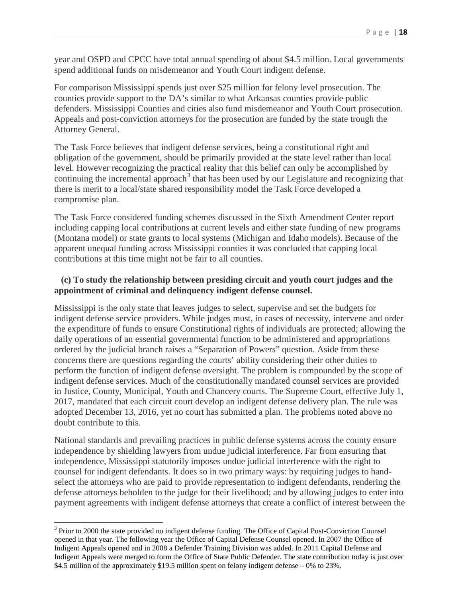year and OSPD and CPCC have total annual spending of about \$4.5 million. Local governments spend additional funds on misdemeanor and Youth Court indigent defense.

For comparison Mississippi spends just over \$25 million for felony level prosecution. The counties provide support to the DA's similar to what Arkansas counties provide public defenders. Mississippi Counties and cities also fund misdemeanor and Youth Court prosecution. Appeals and post-conviction attorneys for the prosecution are funded by the state trough the Attorney General.

The Task Force believes that indigent defense services, being a constitutional right and obligation of the government, should be primarily provided at the state level rather than local level. However recognizing the practical reality that this belief can only be accomplished by continuing the incremental approach<sup>[3](#page-18-0)</sup> that has been used by our Legislature and recognizing that there is merit to a local/state shared responsibility model the Task Force developed a compromise plan.

The Task Force considered funding schemes discussed in the Sixth Amendment Center report including capping local contributions at current levels and either state funding of new programs (Montana model) or state grants to local systems (Michigan and Idaho models). Because of the apparent unequal funding across Mississippi counties it was concluded that capping local contributions at this time might not be fair to all counties.

# **(c) To study the relationship between presiding circuit and youth court judges and the appointment of criminal and delinquency indigent defense counsel.**

Mississippi is the only state that leaves judges to select, supervise and set the budgets for indigent defense service providers. While judges must, in cases of necessity, intervene and order the expenditure of funds to ensure Constitutional rights of individuals are protected; allowing the daily operations of an essential governmental function to be administered and appropriations ordered by the judicial branch raises a "Separation of Powers" question. Aside from these concerns there are questions regarding the courts' ability considering their other duties to perform the function of indigent defense oversight. The problem is compounded by the scope of indigent defense services. Much of the constitutionally mandated counsel services are provided in Justice, County, Municipal, Youth and Chancery courts. The Supreme Court, effective July 1, 2017, mandated that each circuit court develop an indigent defense delivery plan. The rule was adopted December 13, 2016, yet no court has submitted a plan. The problems noted above no doubt contribute to this.

National standards and prevailing practices in public defense systems across the county ensure independence by shielding lawyers from undue judicial interference. Far from ensuring that independence, Mississippi statutorily imposes undue judicial interference with the right to counsel for indigent defendants. It does so in two primary ways: by requiring judges to handselect the attorneys who are paid to provide representation to indigent defendants, rendering the defense attorneys beholden to the judge for their livelihood; and by allowing judges to enter into payment agreements with indigent defense attorneys that create a conflict of interest between the

<span id="page-18-0"></span><sup>&</sup>lt;sup>3</sup> Prior to 2000 the state provided no indigent defense funding. The Office of Capital Post-Conviction Counsel opened in that year. The following year the Office of Capital Defense Counsel opened. In 2007 the Office of Indigent Appeals opened and in 2008 a Defender Training Division was added. In 2011 Capital Defense and Indigent Appeals were merged to form the Office of State Public Defender. The state contribution today is just over \$4.5 million of the approximately \$19.5 million spent on felony indigent defense – 0% to 23%.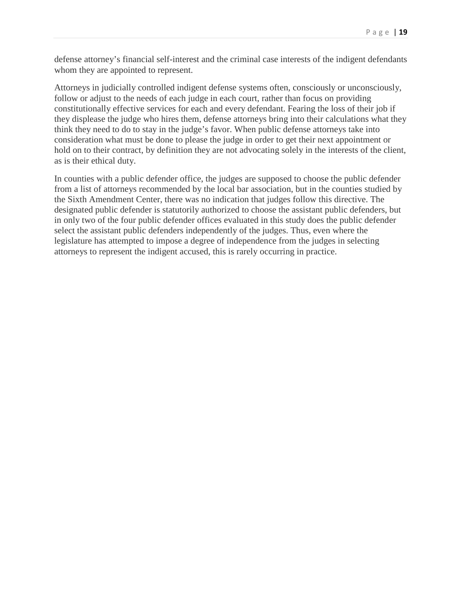defense attorney's financial self-interest and the criminal case interests of the indigent defendants whom they are appointed to represent.

Attorneys in judicially controlled indigent defense systems often, consciously or unconsciously, follow or adjust to the needs of each judge in each court, rather than focus on providing constitutionally effective services for each and every defendant. Fearing the loss of their job if they displease the judge who hires them, defense attorneys bring into their calculations what they think they need to do to stay in the judge's favor. When public defense attorneys take into consideration what must be done to please the judge in order to get their next appointment or hold on to their contract, by definition they are not advocating solely in the interests of the client, as is their ethical duty.

In counties with a public defender office, the judges are supposed to choose the public defender from a list of attorneys recommended by the local bar association, but in the counties studied by the Sixth Amendment Center, there was no indication that judges follow this directive. The designated public defender is statutorily authorized to choose the assistant public defenders, but in only two of the four public defender offices evaluated in this study does the public defender select the assistant public defenders independently of the judges. Thus, even where the legislature has attempted to impose a degree of independence from the judges in selecting attorneys to represent the indigent accused, this is rarely occurring in practice.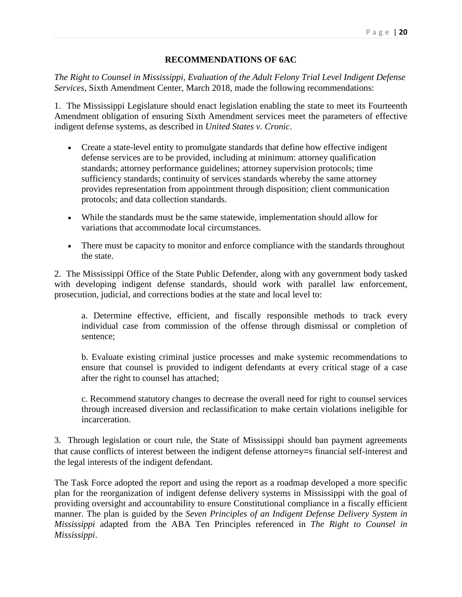# **RECOMMENDATIONS OF 6AC**

*The Right to Counsel in Mississippi, Evaluation of the Adult Felony Trial Level Indigent Defense Services*, Sixth Amendment Center, March 2018, made the following recommendations:

1. The Mississippi Legislature should enact legislation enabling the state to meet its Fourteenth Amendment obligation of ensuring Sixth Amendment services meet the parameters of effective indigent defense systems, as described in *United States v. Cronic*.

- Create a state-level entity to promulgate standards that define how effective indigent defense services are to be provided, including at minimum: attorney qualification standards; attorney performance guidelines; attorney supervision protocols; time sufficiency standards; continuity of services standards whereby the same attorney provides representation from appointment through disposition; client communication protocols; and data collection standards.
- While the standards must be the same statewide, implementation should allow for variations that accommodate local circumstances.
- There must be capacity to monitor and enforce compliance with the standards throughout the state.

2. The Mississippi Office of the State Public Defender, along with any government body tasked with developing indigent defense standards, should work with parallel law enforcement, prosecution, judicial, and corrections bodies at the state and local level to:

a. Determine effective, efficient, and fiscally responsible methods to track every individual case from commission of the offense through dismissal or completion of sentence;

b. Evaluate existing criminal justice processes and make systemic recommendations to ensure that counsel is provided to indigent defendants at every critical stage of a case after the right to counsel has attached;

c. Recommend statutory changes to decrease the overall need for right to counsel services through increased diversion and reclassification to make certain violations ineligible for incarceration.

3. Through legislation or court rule, the State of Mississippi should ban payment agreements that cause conflicts of interest between the indigent defense attorney=s financial self-interest and the legal interests of the indigent defendant.

The Task Force adopted the report and using the report as a roadmap developed a more specific plan for the reorganization of indigent defense delivery systems in Mississippi with the goal of providing oversight and accountability to ensure Constitutional compliance in a fiscally efficient manner. The plan is guided by the *Seven Principles of an Indigent Defense Delivery System in Mississippi* adapted from the ABA Ten Principles referenced in *The Right to Counsel in Mississippi*.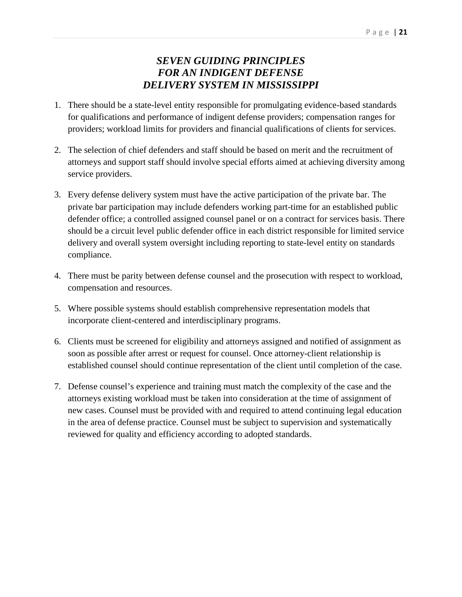# *SEVEN GUIDING PRINCIPLES FOR AN INDIGENT DEFENSE DELIVERY SYSTEM IN MISSISSIPPI*

- 1. There should be a state-level entity responsible for promulgating evidence-based standards for qualifications and performance of indigent defense providers; compensation ranges for providers; workload limits for providers and financial qualifications of clients for services.
- 2. The selection of chief defenders and staff should be based on merit and the recruitment of attorneys and support staff should involve special efforts aimed at achieving diversity among service providers.
- 3. Every defense delivery system must have the active participation of the private bar. The private bar participation may include defenders working part-time for an established public defender office; a controlled assigned counsel panel or on a contract for services basis. There should be a circuit level public defender office in each district responsible for limited service delivery and overall system oversight including reporting to state-level entity on standards compliance.
- 4. There must be parity between defense counsel and the prosecution with respect to workload, compensation and resources.
- 5. Where possible systems should establish comprehensive representation models that incorporate client-centered and interdisciplinary programs.
- 6. Clients must be screened for eligibility and attorneys assigned and notified of assignment as soon as possible after arrest or request for counsel. Once attorney-client relationship is established counsel should continue representation of the client until completion of the case.
- 7. Defense counsel's experience and training must match the complexity of the case and the attorneys existing workload must be taken into consideration at the time of assignment of new cases. Counsel must be provided with and required to attend continuing legal education in the area of defense practice. Counsel must be subject to supervision and systematically reviewed for quality and efficiency according to adopted standards.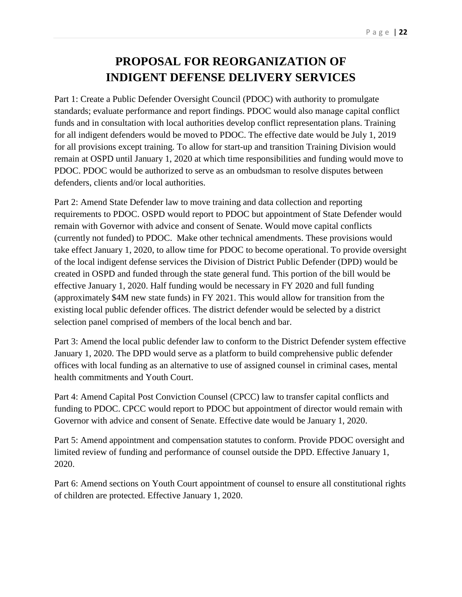# **PROPOSAL FOR REORGANIZATION OF INDIGENT DEFENSE DELIVERY SERVICES**

Part 1: Create a Public Defender Oversight Council (PDOC) with authority to promulgate standards; evaluate performance and report findings. PDOC would also manage capital conflict funds and in consultation with local authorities develop conflict representation plans. Training for all indigent defenders would be moved to PDOC. The effective date would be July 1, 2019 for all provisions except training. To allow for start-up and transition Training Division would remain at OSPD until January 1, 2020 at which time responsibilities and funding would move to PDOC. PDOC would be authorized to serve as an ombudsman to resolve disputes between defenders, clients and/or local authorities.

Part 2: Amend State Defender law to move training and data collection and reporting requirements to PDOC. OSPD would report to PDOC but appointment of State Defender would remain with Governor with advice and consent of Senate. Would move capital conflicts (currently not funded) to PDOC. Make other technical amendments. These provisions would take effect January 1, 2020, to allow time for PDOC to become operational. To provide oversight of the local indigent defense services the Division of District Public Defender (DPD) would be created in OSPD and funded through the state general fund. This portion of the bill would be effective January 1, 2020. Half funding would be necessary in FY 2020 and full funding (approximately \$4M new state funds) in FY 2021. This would allow for transition from the existing local public defender offices. The district defender would be selected by a district selection panel comprised of members of the local bench and bar.

Part 3: Amend the local public defender law to conform to the District Defender system effective January 1, 2020. The DPD would serve as a platform to build comprehensive public defender offices with local funding as an alternative to use of assigned counsel in criminal cases, mental health commitments and Youth Court.

Part 4: Amend Capital Post Conviction Counsel (CPCC) law to transfer capital conflicts and funding to PDOC. CPCC would report to PDOC but appointment of director would remain with Governor with advice and consent of Senate. Effective date would be January 1, 2020.

Part 5: Amend appointment and compensation statutes to conform. Provide PDOC oversight and limited review of funding and performance of counsel outside the DPD. Effective January 1, 2020.

Part 6: Amend sections on Youth Court appointment of counsel to ensure all constitutional rights of children are protected. Effective January 1, 2020.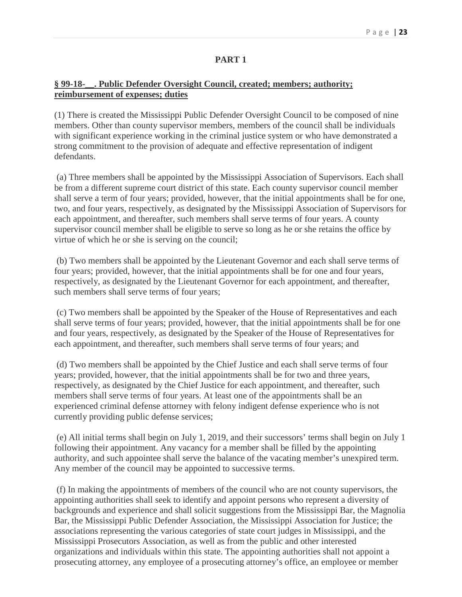# **PART 1**

# **§ 99-18-\_\_. Public Defender Oversight Council, created; members; authority; reimbursement of expenses; duties**

(1) There is created the Mississippi Public Defender Oversight Council to be composed of nine members. Other than county supervisor members, members of the council shall be individuals with significant experience working in the criminal justice system or who have demonstrated a strong commitment to the provision of adequate and effective representation of indigent defendants.

(a) Three members shall be appointed by the Mississippi Association of Supervisors. Each shall be from a different supreme court district of this state. Each county supervisor council member shall serve a term of four years; provided, however, that the initial appointments shall be for one, two, and four years, respectively, as designated by the Mississippi Association of Supervisors for each appointment, and thereafter, such members shall serve terms of four years. A county supervisor council member shall be eligible to serve so long as he or she retains the office by virtue of which he or she is serving on the council;

(b) Two members shall be appointed by the Lieutenant Governor and each shall serve terms of four years; provided, however, that the initial appointments shall be for one and four years, respectively, as designated by the Lieutenant Governor for each appointment, and thereafter, such members shall serve terms of four years;

(c) Two members shall be appointed by the Speaker of the House of Representatives and each shall serve terms of four years; provided, however, that the initial appointments shall be for one and four years, respectively, as designated by the Speaker of the House of Representatives for each appointment, and thereafter, such members shall serve terms of four years; and

(d) Two members shall be appointed by the Chief Justice and each shall serve terms of four years; provided, however, that the initial appointments shall be for two and three years, respectively, as designated by the Chief Justice for each appointment, and thereafter, such members shall serve terms of four years. At least one of the appointments shall be an experienced criminal defense attorney with felony indigent defense experience who is not currently providing public defense services;

(e) All initial terms shall begin on July 1, 2019, and their successors' terms shall begin on July 1 following their appointment. Any vacancy for a member shall be filled by the appointing authority, and such appointee shall serve the balance of the vacating member's unexpired term. Any member of the council may be appointed to successive terms.

(f) In making the appointments of members of the council who are not county supervisors, the appointing authorities shall seek to identify and appoint persons who represent a diversity of backgrounds and experience and shall solicit suggestions from the Mississippi Bar, the Magnolia Bar, the Mississippi Public Defender Association, the Mississippi Association for Justice; the associations representing the various categories of state court judges in Mississippi, and the Mississippi Prosecutors Association, as well as from the public and other interested organizations and individuals within this state. The appointing authorities shall not appoint a prosecuting attorney, any employee of a prosecuting attorney's office, an employee or member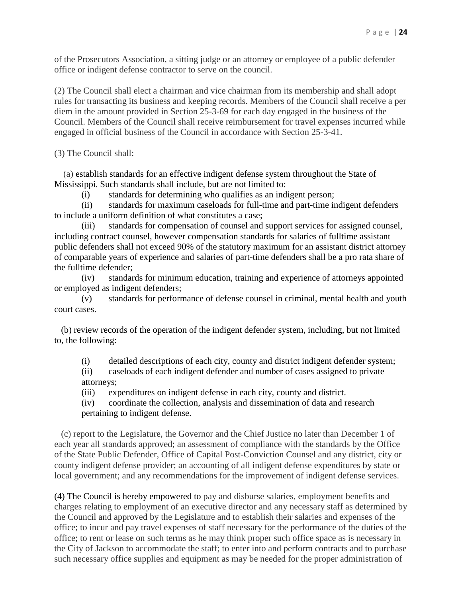of the Prosecutors Association, a sitting judge or an attorney or employee of a public defender office or indigent defense contractor to serve on the council.

(2) The Council shall elect a chairman and vice chairman from its membership and shall adopt rules for transacting its business and keeping records. Members of the Council shall receive a per diem in the amount provided in Section 25-3-69 for each day engaged in the business of the Council. Members of the Council shall receive reimbursement for travel expenses incurred while engaged in official business of the Council in accordance with Section 25-3-41.

(3) The Council shall:

 (a) establish standards for an effective indigent defense system throughout the State of Mississippi. Such standards shall include, but are not limited to:

(i) standards for determining who qualifies as an indigent person;

(ii) standards for maximum caseloads for full-time and part-time indigent defenders to include a uniform definition of what constitutes a case;

(iii) standards for compensation of counsel and support services for assigned counsel, including contract counsel, however compensation standards for salaries of fulltime assistant public defenders shall not exceed 90% of the statutory maximum for an assistant district attorney of comparable years of experience and salaries of part-time defenders shall be a pro rata share of the fulltime defender;

(iv) standards for minimum education, training and experience of attorneys appointed or employed as indigent defenders;

(v) standards for performance of defense counsel in criminal, mental health and youth court cases.

 (b) review records of the operation of the indigent defender system, including, but not limited to, the following:

(i) detailed descriptions of each city, county and district indigent defender system;

(ii) caseloads of each indigent defender and number of cases assigned to private attorneys;

(iii) expenditures on indigent defense in each city, county and district.

(iv) coordinate the collection, analysis and dissemination of data and research pertaining to indigent defense.

 (c) report to the Legislature, the Governor and the Chief Justice no later than December 1 of each year all standards approved; an assessment of compliance with the standards by the Office of the State Public Defender, Office of Capital Post-Conviction Counsel and any district, city or county indigent defense provider; an accounting of all indigent defense expenditures by state or local government; and any recommendations for the improvement of indigent defense services.

(4) The Council is hereby empowered to pay and disburse salaries, employment benefits and charges relating to employment of an executive director and any necessary staff as determined by the Council and approved by the Legislature and to establish their salaries and expenses of the office; to incur and pay travel expenses of staff necessary for the performance of the duties of the office; to rent or lease on such terms as he may think proper such office space as is necessary in the City of Jackson to accommodate the staff; to enter into and perform contracts and to purchase such necessary office supplies and equipment as may be needed for the proper administration of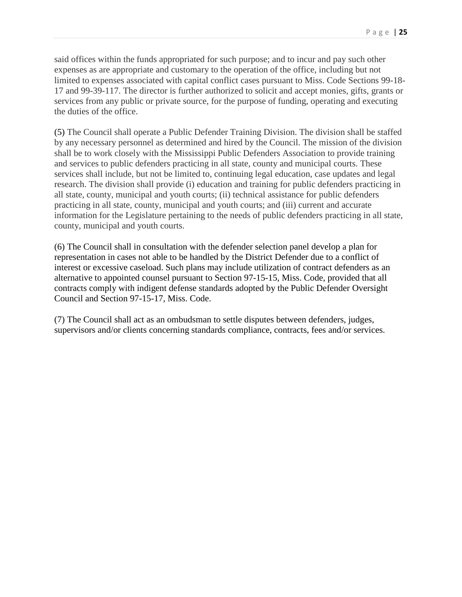said offices within the funds appropriated for such purpose; and to incur and pay such other expenses as are appropriate and customary to the operation of the office, including but not limited to expenses associated with capital conflict cases pursuant to Miss. Code Sections 99-18- 17 and 99-39-117. The director is further authorized to solicit and accept monies, gifts, grants or services from any public or private source, for the purpose of funding, operating and executing the duties of the office.

(5) The Council shall operate a Public Defender Training Division. The division shall be staffed by any necessary personnel as determined and hired by the Council. The mission of the division shall be to work closely with the Mississippi Public Defenders Association to provide training and services to public defenders practicing in all state, county and municipal courts. These services shall include, but not be limited to, continuing legal education, case updates and legal research. The division shall provide (i) education and training for public defenders practicing in all state, county, municipal and youth courts; (ii) technical assistance for public defenders practicing in all state, county, municipal and youth courts; and (iii) current and accurate information for the Legislature pertaining to the needs of public defenders practicing in all state, county, municipal and youth courts.

(6) The Council shall in consultation with the defender selection panel develop a plan for representation in cases not able to be handled by the District Defender due to a conflict of interest or excessive caseload. Such plans may include utilization of contract defenders as an alternative to appointed counsel pursuant to Section 97-15-15, Miss. Code, provided that all contracts comply with indigent defense standards adopted by the Public Defender Oversight Council and Section 97-15-17, Miss. Code.

(7) The Council shall act as an ombudsman to settle disputes between defenders, judges, supervisors and/or clients concerning standards compliance, contracts, fees and/or services.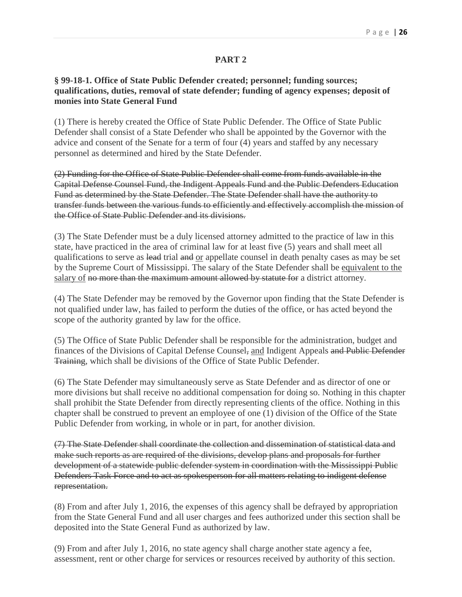## **PART 2**

# **§ 99-18-1. Office of State Public Defender created; personnel; funding sources; qualifications, duties, removal of state defender; funding of agency expenses; deposit of monies into State General Fund**

(1) There is hereby created the Office of State Public Defender. The Office of State Public Defender shall consist of a State Defender who shall be appointed by the Governor with the advice and consent of the Senate for a term of four (4) years and staffed by any necessary personnel as determined and hired by the State Defender.

(2) Funding for the Office of State Public Defender shall come from funds available in the Capital Defense Counsel Fund, the Indigent Appeals Fund and the Public Defenders Education Fund as determined by the State Defender. The State Defender shall have the authority to transfer funds between the various funds to efficiently and effectively accomplish the mission of the Office of State Public Defender and its divisions.

(3) The State Defender must be a duly licensed attorney admitted to the practice of law in this state, have practiced in the area of criminal law for at least five (5) years and shall meet all qualifications to serve as lead trial and or appellate counsel in death penalty cases as may be set by the Supreme Court of Mississippi. The salary of the State Defender shall be equivalent to the salary of no more than the maximum amount allowed by statute for a district attorney.

(4) The State Defender may be removed by the Governor upon finding that the State Defender is not qualified under law, has failed to perform the duties of the office, or has acted beyond the scope of the authority granted by law for the office.

(5) The Office of State Public Defender shall be responsible for the administration, budget and finances of the Divisions of Capital Defense Counsel, and Indigent Appeals and Public Defender Training, which shall be divisions of the Office of State Public Defender.

(6) The State Defender may simultaneously serve as State Defender and as director of one or more divisions but shall receive no additional compensation for doing so. Nothing in this chapter shall prohibit the State Defender from directly representing clients of the office. Nothing in this chapter shall be construed to prevent an employee of one (1) division of the Office of the State Public Defender from working, in whole or in part, for another division.

(7) The State Defender shall coordinate the collection and dissemination of statistical data and make such reports as are required of the divisions, develop plans and proposals for further development of a statewide public defender system in coordination with the Mississippi Public Defenders Task Force and to act as spokesperson for all matters relating to indigent defense representation.

(8) From and after July 1, 2016, the expenses of this agency shall be defrayed by appropriation from the State General Fund and all user charges and fees authorized under this section shall be deposited into the State General Fund as authorized by law.

(9) From and after July 1, 2016, no state agency shall charge another state agency a fee, assessment, rent or other charge for services or resources received by authority of this section.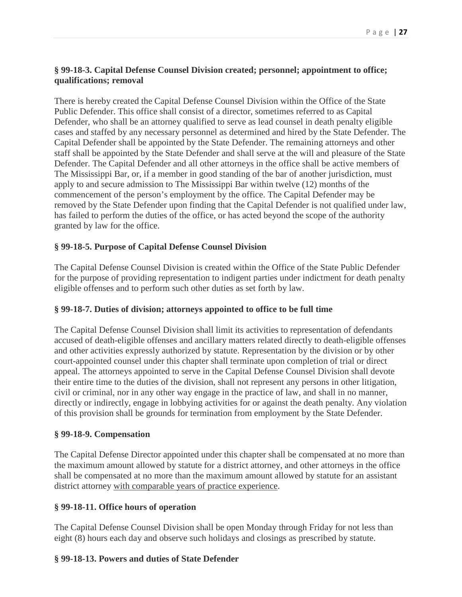# **§ 99-18-3. Capital Defense Counsel Division created; personnel; appointment to office; qualifications; removal**

There is hereby created the Capital Defense Counsel Division within the Office of the State Public Defender. This office shall consist of a director, sometimes referred to as Capital Defender, who shall be an attorney qualified to serve as lead counsel in death penalty eligible cases and staffed by any necessary personnel as determined and hired by the State Defender. The Capital Defender shall be appointed by the State Defender. The remaining attorneys and other staff shall be appointed by the State Defender and shall serve at the will and pleasure of the State Defender. The Capital Defender and all other attorneys in the office shall be active members of The Mississippi Bar, or, if a member in good standing of the bar of another jurisdiction, must apply to and secure admission to The Mississippi Bar within twelve (12) months of the commencement of the person's employment by the office. The Capital Defender may be removed by the State Defender upon finding that the Capital Defender is not qualified under law, has failed to perform the duties of the office, or has acted beyond the scope of the authority granted by law for the office.

# **§ 99-18-5. Purpose of Capital Defense Counsel Division**

The Capital Defense Counsel Division is created within the Office of the State Public Defender for the purpose of providing representation to indigent parties under indictment for death penalty eligible offenses and to perform such other duties as set forth by law.

# **§ 99-18-7. Duties of division; attorneys appointed to office to be full time**

The Capital Defense Counsel Division shall limit its activities to representation of defendants accused of death-eligible offenses and ancillary matters related directly to death-eligible offenses and other activities expressly authorized by statute. Representation by the division or by other court-appointed counsel under this chapter shall terminate upon completion of trial or direct appeal. The attorneys appointed to serve in the Capital Defense Counsel Division shall devote their entire time to the duties of the division, shall not represent any persons in other litigation, civil or criminal, nor in any other way engage in the practice of law, and shall in no manner, directly or indirectly, engage in lobbying activities for or against the death penalty. Any violation of this provision shall be grounds for termination from employment by the State Defender.

# **§ 99-18-9. Compensation**

The Capital Defense Director appointed under this chapter shall be compensated at no more than the maximum amount allowed by statute for a district attorney, and other attorneys in the office shall be compensated at no more than the maximum amount allowed by statute for an assistant district attorney with comparable years of practice experience.

# **§ 99-18-11. Office hours of operation**

The Capital Defense Counsel Division shall be open Monday through Friday for not less than eight (8) hours each day and observe such holidays and closings as prescribed by statute.

# **§ 99-18-13. Powers and duties of State Defender**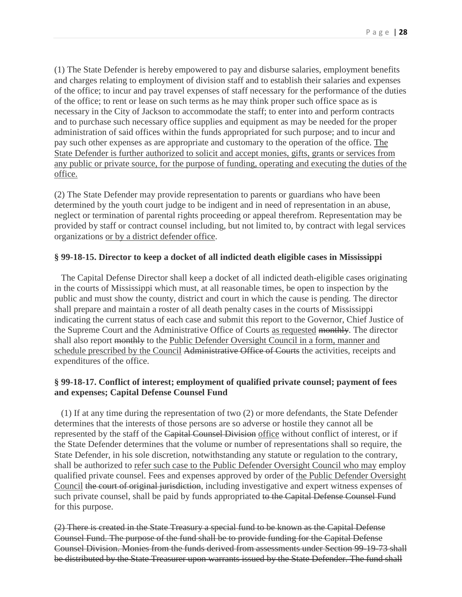(1) The State Defender is hereby empowered to pay and disburse salaries, employment benefits and charges relating to employment of division staff and to establish their salaries and expenses of the office; to incur and pay travel expenses of staff necessary for the performance of the duties of the office; to rent or lease on such terms as he may think proper such office space as is necessary in the City of Jackson to accommodate the staff; to enter into and perform contracts and to purchase such necessary office supplies and equipment as may be needed for the proper administration of said offices within the funds appropriated for such purpose; and to incur and pay such other expenses as are appropriate and customary to the operation of the office. The State Defender is further authorized to solicit and accept monies, gifts, grants or services from any public or private source, for the purpose of funding, operating and executing the duties of the office.

(2) The State Defender may provide representation to parents or guardians who have been determined by the youth court judge to be indigent and in need of representation in an abuse, neglect or termination of parental rights proceeding or appeal therefrom. Representation may be provided by staff or contract counsel including, but not limited to, by contract with legal services organizations or by a district defender office.

## **§ 99-18-15. Director to keep a docket of all indicted death eligible cases in Mississippi**

 The Capital Defense Director shall keep a docket of all indicted death-eligible cases originating in the courts of Mississippi which must, at all reasonable times, be open to inspection by the public and must show the county, district and court in which the cause is pending. The director shall prepare and maintain a roster of all death penalty cases in the courts of Mississippi indicating the current status of each case and submit this report to the Governor, Chief Justice of the Supreme Court and the Administrative Office of Courts as requested monthly. The director shall also report monthly to the Public Defender Oversight Council in a form, manner and schedule prescribed by the Council Administrative Office of Courts the activities, receipts and expenditures of the office.

# **§ 99-18-17. Conflict of interest; employment of qualified private counsel; payment of fees and expenses; Capital Defense Counsel Fund**

 (1) If at any time during the representation of two (2) or more defendants, the State Defender determines that the interests of those persons are so adverse or hostile they cannot all be represented by the staff of the Capital Counsel Division office without conflict of interest, or if the State Defender determines that the volume or number of representations shall so require, the State Defender, in his sole discretion, notwithstanding any statute or regulation to the contrary, shall be authorized to refer such case to the Public Defender Oversight Council who may employ qualified private counsel. Fees and expenses approved by order of the Public Defender Oversight Council the court of original jurisdiction, including investigative and expert witness expenses of such private counsel, shall be paid by funds appropriated to the Capital Defense Counsel Fund for this purpose.

(2) There is created in the State Treasury a special fund to be known as the Capital Defense Counsel Fund. The purpose of the fund shall be to provide funding for the Capital Defense Counsel Division. Monies from the funds derived from assessments under Section 99-19-73 shall be distributed by the State Treasurer upon warrants issued by the State Defender. The fund shall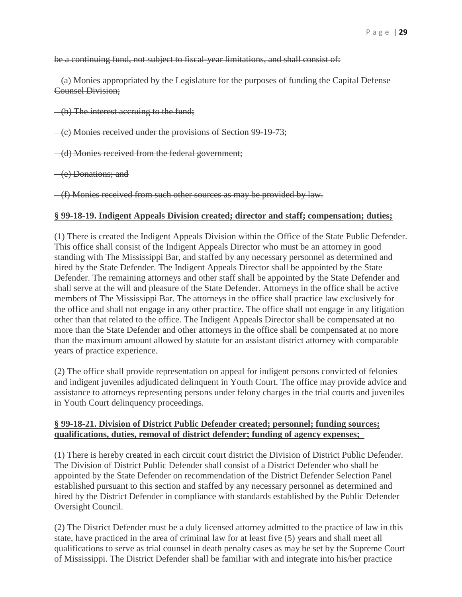be a continuing fund, not subject to fiscal-year limitations, and shall consist of:

 (a) Monies appropriated by the Legislature for the purposes of funding the Capital Defense Counsel Division;

(b) The interest accruing to the fund;

(c) Monies received under the provisions of Section 99-19-73;

(d) Monies received from the federal government;

(e) Donations; and

(f) Monies received from such other sources as may be provided by law.

### **§ 99-18-19. Indigent Appeals Division created; director and staff; compensation; duties;**

(1) There is created the Indigent Appeals Division within the Office of the State Public Defender. This office shall consist of the Indigent Appeals Director who must be an attorney in good standing with The Mississippi Bar, and staffed by any necessary personnel as determined and hired by the State Defender. The Indigent Appeals Director shall be appointed by the State Defender. The remaining attorneys and other staff shall be appointed by the State Defender and shall serve at the will and pleasure of the State Defender. Attorneys in the office shall be active members of The Mississippi Bar. The attorneys in the office shall practice law exclusively for the office and shall not engage in any other practice. The office shall not engage in any litigation other than that related to the office. The Indigent Appeals Director shall be compensated at no more than the State Defender and other attorneys in the office shall be compensated at no more than the maximum amount allowed by statute for an assistant district attorney with comparable years of practice experience.

(2) The office shall provide representation on appeal for indigent persons convicted of felonies and indigent juveniles adjudicated delinquent in Youth Court. The office may provide advice and assistance to attorneys representing persons under felony charges in the trial courts and juveniles in Youth Court delinquency proceedings.

## **§ 99-18-21. Division of District Public Defender created; personnel; funding sources; qualifications, duties, removal of district defender; funding of agency expenses;**

(1) There is hereby created in each circuit court district the Division of District Public Defender. The Division of District Public Defender shall consist of a District Defender who shall be appointed by the State Defender on recommendation of the District Defender Selection Panel established pursuant to this section and staffed by any necessary personnel as determined and hired by the District Defender in compliance with standards established by the Public Defender Oversight Council.

(2) The District Defender must be a duly licensed attorney admitted to the practice of law in this state, have practiced in the area of criminal law for at least five (5) years and shall meet all qualifications to serve as trial counsel in death penalty cases as may be set by the Supreme Court of Mississippi. The District Defender shall be familiar with and integrate into his/her practice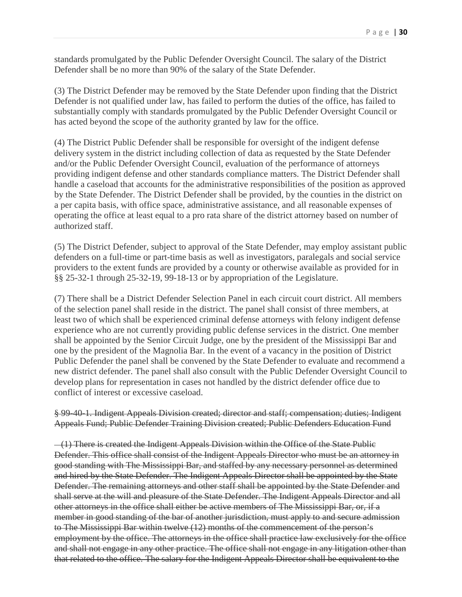standards promulgated by the Public Defender Oversight Council. The salary of the District Defender shall be no more than 90% of the salary of the State Defender.

(3) The District Defender may be removed by the State Defender upon finding that the District Defender is not qualified under law, has failed to perform the duties of the office, has failed to substantially comply with standards promulgated by the Public Defender Oversight Council or has acted beyond the scope of the authority granted by law for the office.

(4) The District Public Defender shall be responsible for oversight of the indigent defense delivery system in the district including collection of data as requested by the State Defender and/or the Public Defender Oversight Council, evaluation of the performance of attorneys providing indigent defense and other standards compliance matters. The District Defender shall handle a caseload that accounts for the administrative responsibilities of the position as approved by the State Defender. The District Defender shall be provided, by the counties in the district on a per capita basis, with office space, administrative assistance, and all reasonable expenses of operating the office at least equal to a pro rata share of the district attorney based on number of authorized staff.

(5) The District Defender, subject to approval of the State Defender, may employ assistant public defenders on a full-time or part-time basis as well as investigators, paralegals and social service providers to the extent funds are provided by a county or otherwise available as provided for in §§ 25-32-1 through 25-32-19, 99-18-13 or by appropriation of the Legislature.

(7) There shall be a District Defender Selection Panel in each circuit court district. All members of the selection panel shall reside in the district. The panel shall consist of three members, at least two of which shall be experienced criminal defense attorneys with felony indigent defense experience who are not currently providing public defense services in the district. One member shall be appointed by the Senior Circuit Judge, one by the president of the Mississippi Bar and one by the president of the Magnolia Bar. In the event of a vacancy in the position of District Public Defender the panel shall be convened by the State Defender to evaluate and recommend a new district defender. The panel shall also consult with the Public Defender Oversight Council to develop plans for representation in cases not handled by the district defender office due to conflict of interest or excessive caseload.

§ 99-40-1. Indigent Appeals Division created; director and staff; compensation; duties; Indigent Appeals Fund; Public Defender Training Division created; Public Defenders Education Fund

 (1) There is created the Indigent Appeals Division within the Office of the State Public Defender. This office shall consist of the Indigent Appeals Director who must be an attorney in good standing with The Mississippi Bar, and staffed by any necessary personnel as determined and hired by the State Defender. The Indigent Appeals Director shall be appointed by the State Defender. The remaining attorneys and other staff shall be appointed by the State Defender and shall serve at the will and pleasure of the State Defender. The Indigent Appeals Director and all other attorneys in the office shall either be active members of The Mississippi Bar, or, if a member in good standing of the bar of another jurisdiction, must apply to and secure admission to The Mississippi Bar within twelve (12) months of the commencement of the person's employment by the office. The attorneys in the office shall practice law exclusively for the office and shall not engage in any other practice. The office shall not engage in any litigation other than that related to the office. The salary for the Indigent Appeals Director shall be equivalent to the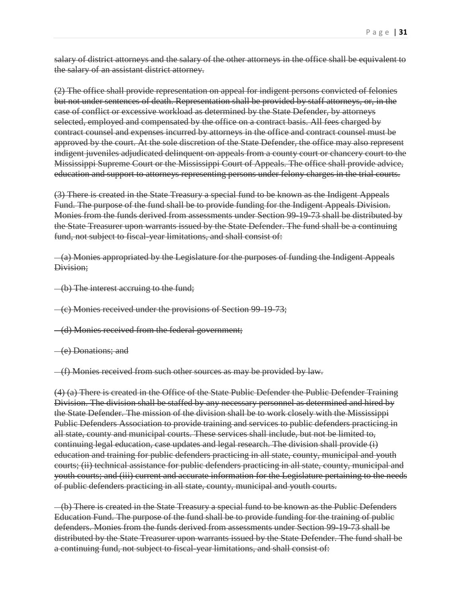salary of district attorneys and the salary of the other attorneys in the office shall be equivalent to the salary of an assistant district attorney.

(2) The office shall provide representation on appeal for indigent persons convicted of felonies but not under sentences of death. Representation shall be provided by staff attorneys, or, in the case of conflict or excessive workload as determined by the State Defender, by attorneys selected, employed and compensated by the office on a contract basis. All fees charged by contract counsel and expenses incurred by attorneys in the office and contract counsel must be approved by the court. At the sole discretion of the State Defender, the office may also represent indigent juveniles adjudicated delinquent on appeals from a county court or chancery court to the Mississippi Supreme Court or the Mississippi Court of Appeals. The office shall provide advice, education and support to attorneys representing persons under felony charges in the trial courts.

(3) There is created in the State Treasury a special fund to be known as the Indigent Appeals Fund. The purpose of the fund shall be to provide funding for the Indigent Appeals Division. Monies from the funds derived from assessments under Section 99-19-73 shall be distributed by the State Treasurer upon warrants issued by the State Defender. The fund shall be a continuing fund, not subject to fiscal-year limitations, and shall consist of:

 (a) Monies appropriated by the Legislature for the purposes of funding the Indigent Appeals Division;

(b) The interest accruing to the fund;

(c) Monies received under the provisions of Section 99-19-73;

(d) Monies received from the federal government;

(e) Donations; and

(f) Monies received from such other sources as may be provided by law.

(4) (a) There is created in the Office of the State Public Defender the Public Defender Training Division. The division shall be staffed by any necessary personnel as determined and hired by the State Defender. The mission of the division shall be to work closely with the Mississippi Public Defenders Association to provide training and services to public defenders practicing in all state, county and municipal courts. These services shall include, but not be limited to, continuing legal education, case updates and legal research. The division shall provide (i) education and training for public defenders practicing in all state, county, municipal and youth courts; (ii) technical assistance for public defenders practicing in all state, county, municipal and youth courts; and (iii) current and accurate information for the Legislature pertaining to the needs of public defenders practicing in all state, county, municipal and youth courts.

 (b) There is created in the State Treasury a special fund to be known as the Public Defenders Education Fund. The purpose of the fund shall be to provide funding for the training of public defenders. Monies from the funds derived from assessments under Section 99-19-73 shall be distributed by the State Treasurer upon warrants issued by the State Defender. The fund shall be a continuing fund, not subject to fiscal-year limitations, and shall consist of: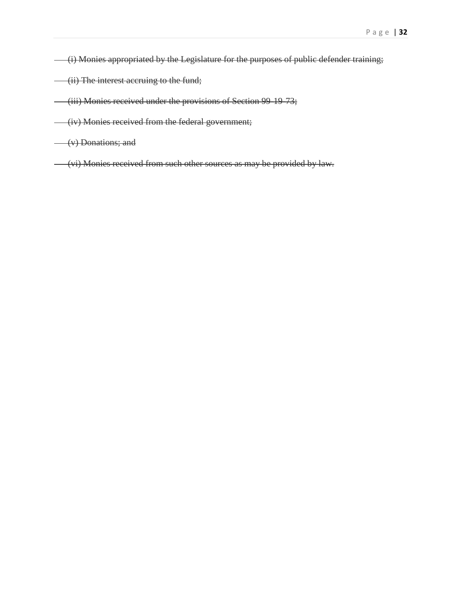- (i) Monies appropriated by the Legislature for the purposes of public defender training;
- (ii) The interest accruing to the fund;
- (iii) Monies received under the provisions of Section 99-19-73;
- (iv) Monies received from the federal government;
- (v) Donations; and
- (vi) Monies received from such other sources as may be provided by law.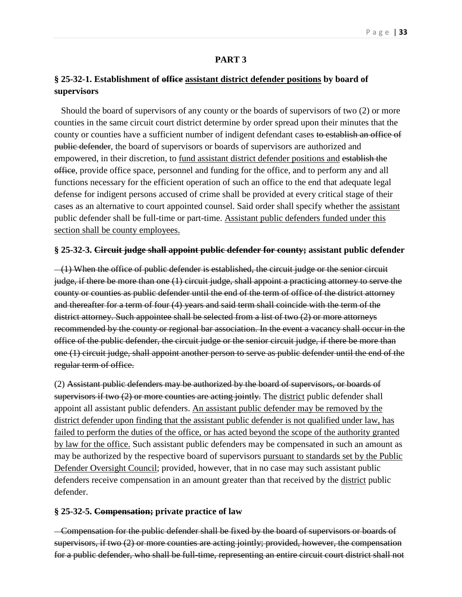### **PART 3**

# **§ 25-32-1. Establishment of office assistant district defender positions by board of supervisors**

 Should the board of supervisors of any county or the boards of supervisors of two (2) or more counties in the same circuit court district determine by order spread upon their minutes that the county or counties have a sufficient number of indigent defendant cases to establish an office of public defender, the board of supervisors or boards of supervisors are authorized and empowered, in their discretion, to fund assistant district defender positions and establish the office, provide office space, personnel and funding for the office, and to perform any and all functions necessary for the efficient operation of such an office to the end that adequate legal defense for indigent persons accused of crime shall be provided at every critical stage of their cases as an alternative to court appointed counsel. Said order shall specify whether the assistant public defender shall be full-time or part-time. Assistant public defenders funded under this section shall be county employees.

### **§ 25-32-3. Circuit judge shall appoint public defender for county; assistant public defender**

 $-(1)$  When the office of public defender is established, the circuit judge or the senior circuit judge, if there be more than one (1) circuit judge, shall appoint a practicing attorney to serve the county or counties as public defender until the end of the term of office of the district attorney and thereafter for a term of four (4) years and said term shall coincide with the term of the district attorney. Such appointee shall be selected from a list of two (2) or more attorneys recommended by the county or regional bar association. In the event a vacancy shall occur in the office of the public defender, the circuit judge or the senior circuit judge, if there be more than one (1) circuit judge, shall appoint another person to serve as public defender until the end of the regular term of office.

(2) Assistant public defenders may be authorized by the board of supervisors, or boards of supervisors if two (2) or more counties are acting jointly. The district public defender shall appoint all assistant public defenders. An assistant public defender may be removed by the district defender upon finding that the assistant public defender is not qualified under law, has failed to perform the duties of the office, or has acted beyond the scope of the authority granted by law for the office. Such assistant public defenders may be compensated in such an amount as may be authorized by the respective board of supervisors pursuant to standards set by the Public Defender Oversight Council; provided, however, that in no case may such assistant public defenders receive compensation in an amount greater than that received by the district public defender.

### **§ 25-32-5. Compensation; private practice of law**

 Compensation for the public defender shall be fixed by the board of supervisors or boards of supervisors, if two (2) or more counties are acting jointly; provided, however, the compensation for a public defender, who shall be full-time, representing an entire circuit court district shall not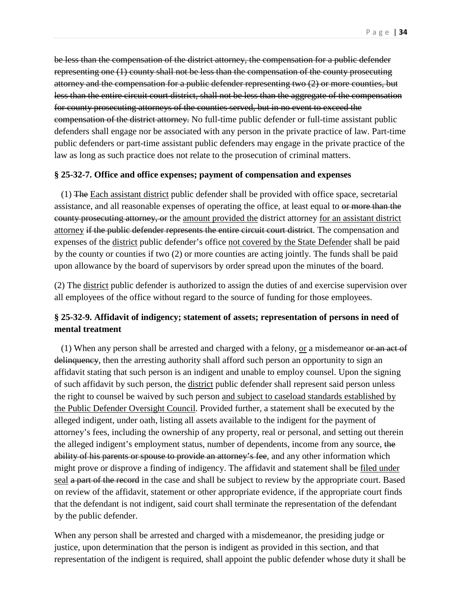be less than the compensation of the district attorney, the compensation for a public defender representing one (1) county shall not be less than the compensation of the county prosecuting attorney and the compensation for a public defender representing two (2) or more counties, but less than the entire circuit court district, shall not be less than the aggregate of the compensation for county prosecuting attorneys of the counties served, but in no event to exceed the compensation of the district attorney. No full-time public defender or full-time assistant public defenders shall engage nor be associated with any person in the private practice of law. Part-time public defenders or part-time assistant public defenders may engage in the private practice of the law as long as such practice does not relate to the prosecution of criminal matters.

### **§ 25-32-7. Office and office expenses; payment of compensation and expenses**

 (1) The Each assistant district public defender shall be provided with office space, secretarial assistance, and all reasonable expenses of operating the office, at least equal to or more than the county prosecuting attorney, or the amount provided the district attorney for an assistant district attorney if the public defender represents the entire circuit court district. The compensation and expenses of the district public defender's office not covered by the State Defender shall be paid by the county or counties if two (2) or more counties are acting jointly. The funds shall be paid upon allowance by the board of supervisors by order spread upon the minutes of the board.

(2) The district public defender is authorized to assign the duties of and exercise supervision over all employees of the office without regard to the source of funding for those employees.

# **§ 25-32-9. Affidavit of indigency; statement of assets; representation of persons in need of mental treatment**

(1) When any person shall be arrested and charged with a felony, or a misdemeanor or an act of delinquency, then the arresting authority shall afford such person an opportunity to sign an affidavit stating that such person is an indigent and unable to employ counsel. Upon the signing of such affidavit by such person, the district public defender shall represent said person unless the right to counsel be waived by such person and subject to caseload standards established by the Public Defender Oversight Council. Provided further, a statement shall be executed by the alleged indigent, under oath, listing all assets available to the indigent for the payment of attorney's fees, including the ownership of any property, real or personal, and setting out therein the alleged indigent's employment status, number of dependents, income from any source, the ability of his parents or spouse to provide an attorney's fee, and any other information which might prove or disprove a finding of indigency. The affidavit and statement shall be filed under seal a part of the record in the case and shall be subject to review by the appropriate court. Based on review of the affidavit, statement or other appropriate evidence, if the appropriate court finds that the defendant is not indigent, said court shall terminate the representation of the defendant by the public defender.

When any person shall be arrested and charged with a misdemeanor, the presiding judge or justice, upon determination that the person is indigent as provided in this section, and that representation of the indigent is required, shall appoint the public defender whose duty it shall be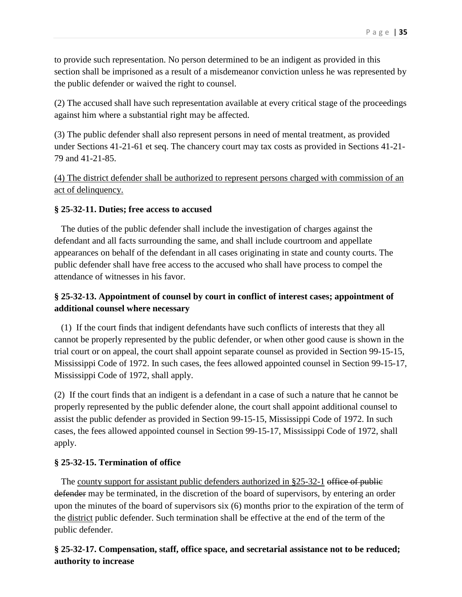to provide such representation. No person determined to be an indigent as provided in this section shall be imprisoned as a result of a misdemeanor conviction unless he was represented by the public defender or waived the right to counsel.

(2) The accused shall have such representation available at every critical stage of the proceedings against him where a substantial right may be affected.

(3) The public defender shall also represent persons in need of mental treatment, as provided under Sections 41-21-61 et seq. The chancery court may tax costs as provided in Sections 41-21- 79 and 41-21-85.

(4) The district defender shall be authorized to represent persons charged with commission of an act of delinquency.

## **§ 25-32-11. Duties; free access to accused**

 The duties of the public defender shall include the investigation of charges against the defendant and all facts surrounding the same, and shall include courtroom and appellate appearances on behalf of the defendant in all cases originating in state and county courts. The public defender shall have free access to the accused who shall have process to compel the attendance of witnesses in his favor.

# **§ 25-32-13. Appointment of counsel by court in conflict of interest cases; appointment of additional counsel where necessary**

 (1) If the court finds that indigent defendants have such conflicts of interests that they all cannot be properly represented by the public defender, or when other good cause is shown in the trial court or on appeal, the court shall appoint separate counsel as provided in Section 99-15-15, Mississippi Code of 1972. In such cases, the fees allowed appointed counsel in Section 99-15-17, Mississippi Code of 1972, shall apply.

(2) If the court finds that an indigent is a defendant in a case of such a nature that he cannot be properly represented by the public defender alone, the court shall appoint additional counsel to assist the public defender as provided in Section 99-15-15, Mississippi Code of 1972. In such cases, the fees allowed appointed counsel in Section 99-15-17, Mississippi Code of 1972, shall apply.

# **§ 25-32-15. Termination of office**

The county support for assistant public defenders authorized in  $§25-32-1$  office of public defender may be terminated, in the discretion of the board of supervisors, by entering an order upon the minutes of the board of supervisors six (6) months prior to the expiration of the term of the district public defender. Such termination shall be effective at the end of the term of the public defender.

# **§ 25-32-17. Compensation, staff, office space, and secretarial assistance not to be reduced; authority to increase**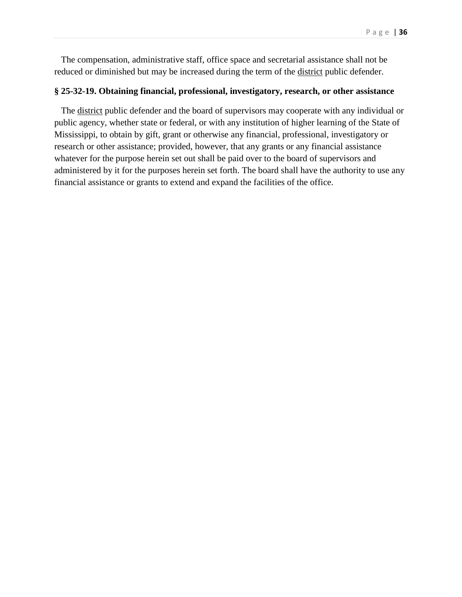The compensation, administrative staff, office space and secretarial assistance shall not be reduced or diminished but may be increased during the term of the district public defender.

### **§ 25-32-19. Obtaining financial, professional, investigatory, research, or other assistance**

 The district public defender and the board of supervisors may cooperate with any individual or public agency, whether state or federal, or with any institution of higher learning of the State of Mississippi, to obtain by gift, grant or otherwise any financial, professional, investigatory or research or other assistance; provided, however, that any grants or any financial assistance whatever for the purpose herein set out shall be paid over to the board of supervisors and administered by it for the purposes herein set forth. The board shall have the authority to use any financial assistance or grants to extend and expand the facilities of the office.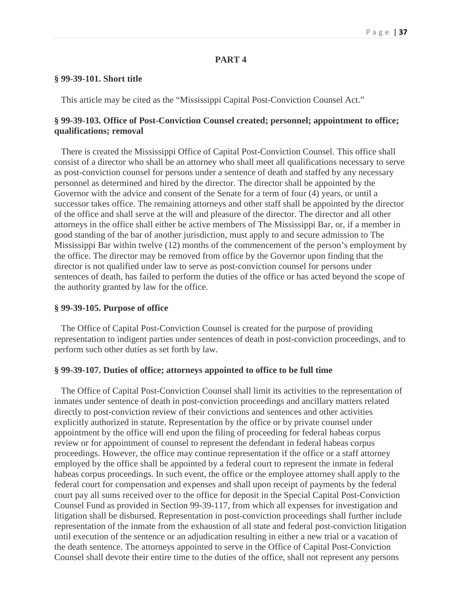# **PART 4**

### **§ 99-39-101. Short title**

This article may be cited as the "Mississippi Capital Post-Conviction Counsel Act."

# **§ 99-39-103. Office of Post-Conviction Counsel created; personnel; appointment to office; qualifications; removal**

 There is created the Mississippi Office of Capital Post-Conviction Counsel. This office shall consist of a director who shall be an attorney who shall meet all qualifications necessary to serve as post-conviction counsel for persons under a sentence of death and staffed by any necessary personnel as determined and hired by the director. The director shall be appointed by the Governor with the advice and consent of the Senate for a term of four (4) years, or until a successor takes office. The remaining attorneys and other staff shall be appointed by the director of the office and shall serve at the will and pleasure of the director. The director and all other attorneys in the office shall either be active members of The Mississippi Bar, or, if a member in good standing of the bar of another jurisdiction, must apply to and secure admission to The Mississippi Bar within twelve (12) months of the commencement of the person's employment by the office. The director may be removed from office by the Governor upon finding that the director is not qualified under law to serve as post-conviction counsel for persons under sentences of death, has failed to perform the duties of the office or has acted beyond the scope of the authority granted by law for the office.

#### **§ 99-39-105. Purpose of office**

 The Office of Capital Post-Conviction Counsel is created for the purpose of providing representation to indigent parties under sentences of death in post-conviction proceedings, and to perform such other duties as set forth by law.

### **§ 99-39-107. Duties of office; attorneys appointed to office to be full time**

 The Office of Capital Post-Conviction Counsel shall limit its activities to the representation of inmates under sentence of death in post-conviction proceedings and ancillary matters related directly to post-conviction review of their convictions and sentences and other activities explicitly authorized in statute. Representation by the office or by private counsel under appointment by the office will end upon the filing of proceeding for federal habeas corpus review or for appointment of counsel to represent the defendant in federal habeas corpus proceedings. However, the office may continue representation if the office or a staff attorney employed by the office shall be appointed by a federal court to represent the inmate in federal habeas corpus proceedings. In such event, the office or the employee attorney shall apply to the federal court for compensation and expenses and shall upon receipt of payments by the federal court pay all sums received over to the office for deposit in the Special Capital Post-Conviction Counsel Fund as provided in Section 99-39-117, from which all expenses for investigation and litigation shall be disbursed. Representation in post-conviction proceedings shall further include representation of the inmate from the exhaustion of all state and federal post-conviction litigation until execution of the sentence or an adjudication resulting in either a new trial or a vacation of the death sentence. The attorneys appointed to serve in the Office of Capital Post-Conviction Counsel shall devote their entire time to the duties of the office, shall not represent any persons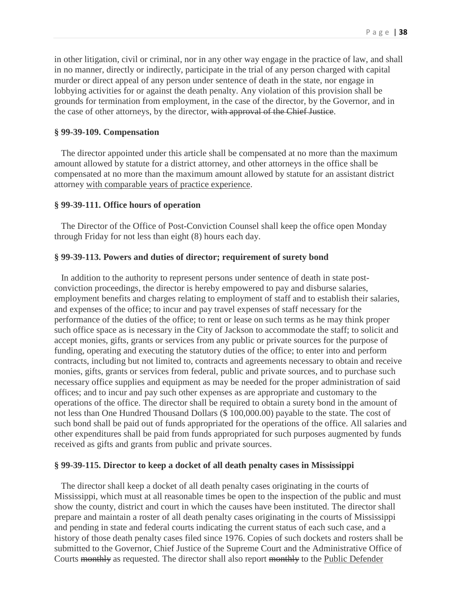in other litigation, civil or criminal, nor in any other way engage in the practice of law, and shall in no manner, directly or indirectly, participate in the trial of any person charged with capital murder or direct appeal of any person under sentence of death in the state, nor engage in lobbying activities for or against the death penalty. Any violation of this provision shall be grounds for termination from employment, in the case of the director, by the Governor, and in the case of other attorneys, by the director, with approval of the Chief Justice.

### **§ 99-39-109. Compensation**

 The director appointed under this article shall be compensated at no more than the maximum amount allowed by statute for a district attorney, and other attorneys in the office shall be compensated at no more than the maximum amount allowed by statute for an assistant district attorney with comparable years of practice experience.

#### **§ 99-39-111. Office hours of operation**

 The Director of the Office of Post-Conviction Counsel shall keep the office open Monday through Friday for not less than eight (8) hours each day.

### **§ 99-39-113. Powers and duties of director; requirement of surety bond**

 In addition to the authority to represent persons under sentence of death in state postconviction proceedings, the director is hereby empowered to pay and disburse salaries, employment benefits and charges relating to employment of staff and to establish their salaries, and expenses of the office; to incur and pay travel expenses of staff necessary for the performance of the duties of the office; to rent or lease on such terms as he may think proper such office space as is necessary in the City of Jackson to accommodate the staff; to solicit and accept monies, gifts, grants or services from any public or private sources for the purpose of funding, operating and executing the statutory duties of the office; to enter into and perform contracts, including but not limited to, contracts and agreements necessary to obtain and receive monies, gifts, grants or services from federal, public and private sources, and to purchase such necessary office supplies and equipment as may be needed for the proper administration of said offices; and to incur and pay such other expenses as are appropriate and customary to the operations of the office. The director shall be required to obtain a surety bond in the amount of not less than One Hundred Thousand Dollars (\$ 100,000.00) payable to the state. The cost of such bond shall be paid out of funds appropriated for the operations of the office. All salaries and other expenditures shall be paid from funds appropriated for such purposes augmented by funds received as gifts and grants from public and private sources.

#### **§ 99-39-115. Director to keep a docket of all death penalty cases in Mississippi**

 The director shall keep a docket of all death penalty cases originating in the courts of Mississippi, which must at all reasonable times be open to the inspection of the public and must show the county, district and court in which the causes have been instituted. The director shall prepare and maintain a roster of all death penalty cases originating in the courts of Mississippi and pending in state and federal courts indicating the current status of each such case, and a history of those death penalty cases filed since 1976. Copies of such dockets and rosters shall be submitted to the Governor, Chief Justice of the Supreme Court and the Administrative Office of Courts monthly as requested. The director shall also report monthly to the Public Defender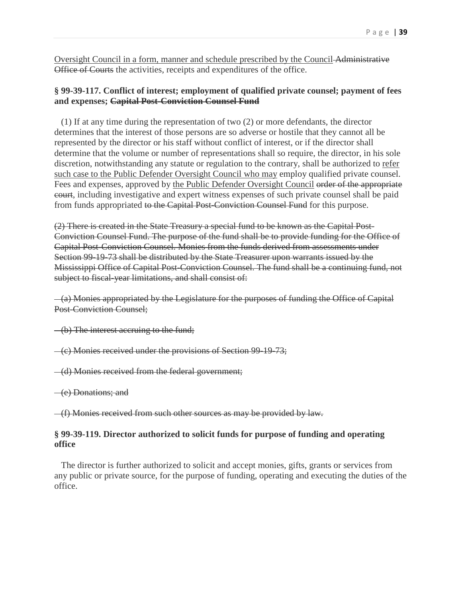Oversight Council in a form, manner and schedule prescribed by the Council Administrative Office of Courts the activities, receipts and expenditures of the office.

# **§ 99-39-117. Conflict of interest; employment of qualified private counsel; payment of fees and expenses; Capital Post-Conviction Counsel Fund**

 (1) If at any time during the representation of two (2) or more defendants, the director determines that the interest of those persons are so adverse or hostile that they cannot all be represented by the director or his staff without conflict of interest, or if the director shall determine that the volume or number of representations shall so require, the director, in his sole discretion, notwithstanding any statute or regulation to the contrary, shall be authorized to refer such case to the Public Defender Oversight Council who may employ qualified private counsel. Fees and expenses, approved by the Public Defender Oversight Council order of the appropriate court, including investigative and expert witness expenses of such private counsel shall be paid from funds appropriated to the Capital Post-Conviction Counsel Fund for this purpose.

(2) There is created in the State Treasury a special fund to be known as the Capital Post-Conviction Counsel Fund. The purpose of the fund shall be to provide funding for the Office of Capital Post-Conviction Counsel. Monies from the funds derived from assessments under Section 99-19-73 shall be distributed by the State Treasurer upon warrants issued by the Mississippi Office of Capital Post-Conviction Counsel. The fund shall be a continuing fund, not subject to fiscal-year limitations, and shall consist of:

 (a) Monies appropriated by the Legislature for the purposes of funding the Office of Capital Post-Conviction Counsel;

(b) The interest accruing to the fund;

(c) Monies received under the provisions of Section 99-19-73;

(d) Monies received from the federal government;

(e) Donations; and

(f) Monies received from such other sources as may be provided by law.

### **§ 99-39-119. Director authorized to solicit funds for purpose of funding and operating office**

 The director is further authorized to solicit and accept monies, gifts, grants or services from any public or private source, for the purpose of funding, operating and executing the duties of the office.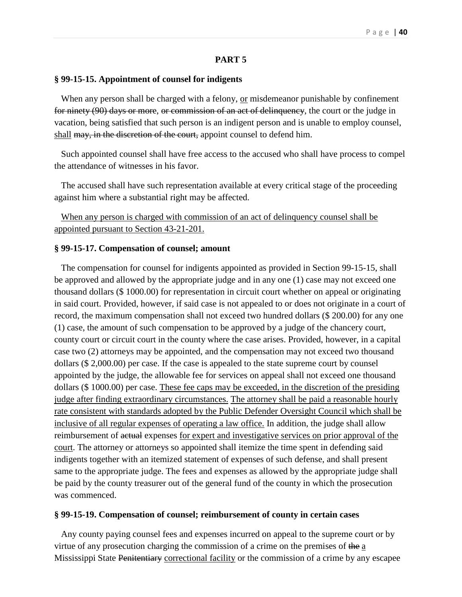### **PART 5**

#### **§ 99-15-15. Appointment of counsel for indigents**

When any person shall be charged with a felony,  $or$  misdemeanor punishable by confinement</u> for ninety (90) days or more, or commission of an act of delinquency, the court or the judge in vacation, being satisfied that such person is an indigent person and is unable to employ counsel, shall may, in the discretion of the court, appoint counsel to defend him.

 Such appointed counsel shall have free access to the accused who shall have process to compel the attendance of witnesses in his favor.

 The accused shall have such representation available at every critical stage of the proceeding against him where a substantial right may be affected.

 When any person is charged with commission of an act of delinquency counsel shall be appointed pursuant to Section 43-21-201.

#### **§ 99-15-17. Compensation of counsel; amount**

 The compensation for counsel for indigents appointed as provided in Section 99-15-15, shall be approved and allowed by the appropriate judge and in any one (1) case may not exceed one thousand dollars (\$ 1000.00) for representation in circuit court whether on appeal or originating in said court. Provided, however, if said case is not appealed to or does not originate in a court of record, the maximum compensation shall not exceed two hundred dollars (\$ 200.00) for any one (1) case, the amount of such compensation to be approved by a judge of the chancery court, county court or circuit court in the county where the case arises. Provided, however, in a capital case two (2) attorneys may be appointed, and the compensation may not exceed two thousand dollars (\$ 2,000.00) per case. If the case is appealed to the state supreme court by counsel appointed by the judge, the allowable fee for services on appeal shall not exceed one thousand dollars (\$ 1000.00) per case. These fee caps may be exceeded, in the discretion of the presiding judge after finding extraordinary circumstances. The attorney shall be paid a reasonable hourly rate consistent with standards adopted by the Public Defender Oversight Council which shall be inclusive of all regular expenses of operating a law office. In addition, the judge shall allow reimbursement of actual expenses for expert and investigative services on prior approval of the court. The attorney or attorneys so appointed shall itemize the time spent in defending said indigents together with an itemized statement of expenses of such defense, and shall present same to the appropriate judge. The fees and expenses as allowed by the appropriate judge shall be paid by the county treasurer out of the general fund of the county in which the prosecution was commenced.

#### **§ 99-15-19. Compensation of counsel; reimbursement of county in certain cases**

 Any county paying counsel fees and expenses incurred on appeal to the supreme court or by virtue of any prosecution charging the commission of a crime on the premises of the  $\underline{a}$ Mississippi State Penitentiary correctional facility or the commission of a crime by any escapee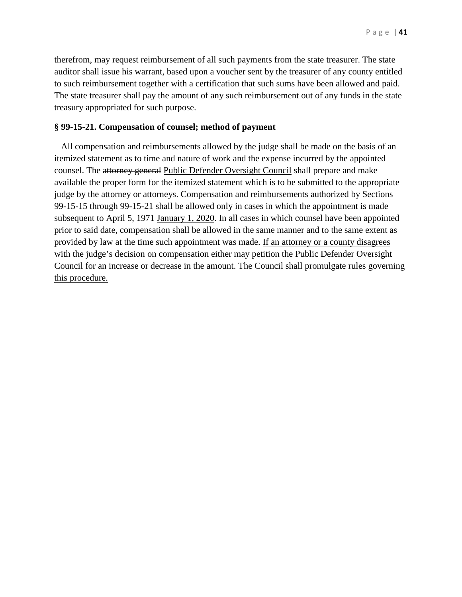therefrom, may request reimbursement of all such payments from the state treasurer. The state auditor shall issue his warrant, based upon a voucher sent by the treasurer of any county entitled to such reimbursement together with a certification that such sums have been allowed and paid. The state treasurer shall pay the amount of any such reimbursement out of any funds in the state treasury appropriated for such purpose.

#### **§ 99-15-21. Compensation of counsel; method of payment**

 All compensation and reimbursements allowed by the judge shall be made on the basis of an itemized statement as to time and nature of work and the expense incurred by the appointed counsel. The attorney general Public Defender Oversight Council shall prepare and make available the proper form for the itemized statement which is to be submitted to the appropriate judge by the attorney or attorneys. Compensation and reimbursements authorized by Sections 99-15-15 through 99-15-21 shall be allowed only in cases in which the appointment is made subsequent to April 5, 1971 January 1, 2020. In all cases in which counsel have been appointed prior to said date, compensation shall be allowed in the same manner and to the same extent as provided by law at the time such appointment was made. If an attorney or a county disagrees with the judge's decision on compensation either may petition the Public Defender Oversight Council for an increase or decrease in the amount. The Council shall promulgate rules governing this procedure.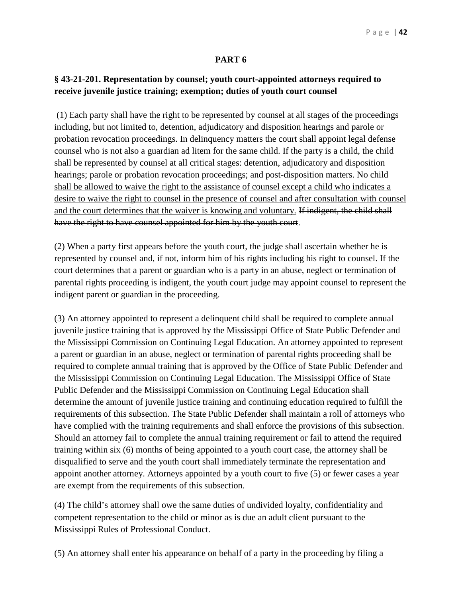# **PART 6**

# **§ 43-21-201. Representation by counsel; youth court-appointed attorneys required to receive juvenile justice training; exemption; duties of youth court counsel**

(1) Each party shall have the right to be represented by counsel at all stages of the proceedings including, but not limited to, detention, adjudicatory and disposition hearings and parole or probation revocation proceedings. In delinquency matters the court shall appoint legal defense counsel who is not also a guardian ad litem for the same child. If the party is a child, the child shall be represented by counsel at all critical stages: detention, adjudicatory and disposition hearings; parole or probation revocation proceedings; and post-disposition matters. No child shall be allowed to waive the right to the assistance of counsel except a child who indicates a desire to waive the right to counsel in the presence of counsel and after consultation with counsel and the court determines that the waiver is knowing and voluntary. If indigent, the child shall have the right to have counsel appointed for him by the youth court.

(2) When a party first appears before the youth court, the judge shall ascertain whether he is represented by counsel and, if not, inform him of his rights including his right to counsel. If the court determines that a parent or guardian who is a party in an abuse, neglect or termination of parental rights proceeding is indigent, the youth court judge may appoint counsel to represent the indigent parent or guardian in the proceeding.

(3) An attorney appointed to represent a delinquent child shall be required to complete annual juvenile justice training that is approved by the Mississippi Office of State Public Defender and the Mississippi Commission on Continuing Legal Education. An attorney appointed to represent a parent or guardian in an abuse, neglect or termination of parental rights proceeding shall be required to complete annual training that is approved by the Office of State Public Defender and the Mississippi Commission on Continuing Legal Education. The Mississippi Office of State Public Defender and the Mississippi Commission on Continuing Legal Education shall determine the amount of juvenile justice training and continuing education required to fulfill the requirements of this subsection. The State Public Defender shall maintain a roll of attorneys who have complied with the training requirements and shall enforce the provisions of this subsection. Should an attorney fail to complete the annual training requirement or fail to attend the required training within six (6) months of being appointed to a youth court case, the attorney shall be disqualified to serve and the youth court shall immediately terminate the representation and appoint another attorney. Attorneys appointed by a youth court to five (5) or fewer cases a year are exempt from the requirements of this subsection.

(4) The child's attorney shall owe the same duties of undivided loyalty, confidentiality and competent representation to the child or minor as is due an adult client pursuant to the Mississippi Rules of Professional Conduct.

(5) An attorney shall enter his appearance on behalf of a party in the proceeding by filing a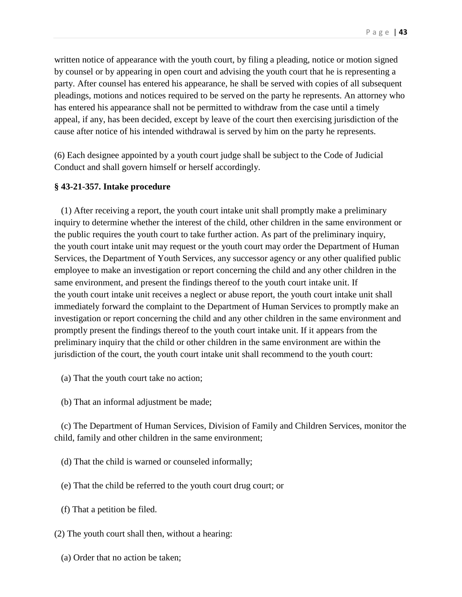written notice of appearance with the youth court, by filing a pleading, notice or motion signed by counsel or by appearing in open court and advising the youth court that he is representing a party. After counsel has entered his appearance, he shall be served with copies of all subsequent pleadings, motions and notices required to be served on the party he represents. An attorney who has entered his appearance shall not be permitted to withdraw from the case until a timely appeal, if any, has been decided, except by leave of the court then exercising jurisdiction of the cause after notice of his intended withdrawal is served by him on the party he represents.

(6) Each designee appointed by a youth court judge shall be subject to the Code of Judicial Conduct and shall govern himself or herself accordingly.

#### **§ 43-21-357. Intake procedure**

 (1) After receiving a report, the youth court intake unit shall promptly make a preliminary inquiry to determine whether the interest of the child, other children in the same environment or the public requires the youth court to take further action. As part of the preliminary inquiry, the youth court intake unit may request or the youth court may order the Department of Human Services, the Department of Youth Services, any successor agency or any other qualified public employee to make an investigation or report concerning the child and any other children in the same environment, and present the findings thereof to the youth court intake unit. If the youth court intake unit receives a neglect or abuse report, the youth court intake unit shall immediately forward the complaint to the Department of Human Services to promptly make an investigation or report concerning the child and any other children in the same environment and promptly present the findings thereof to the youth court intake unit. If it appears from the preliminary inquiry that the child or other children in the same environment are within the jurisdiction of the court, the youth court intake unit shall recommend to the youth court:

- (a) That the youth court take no action;
- (b) That an informal adjustment be made;

 (c) The Department of Human Services, Division of Family and Children Services, monitor the child, family and other children in the same environment;

- (d) That the child is warned or counseled informally;
- (e) That the child be referred to the youth court drug court; or
- (f) That a petition be filed.
- (2) The youth court shall then, without a hearing:
	- (a) Order that no action be taken;